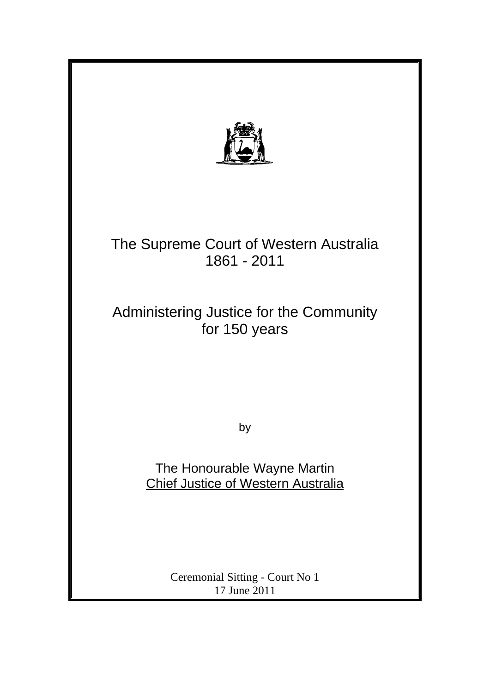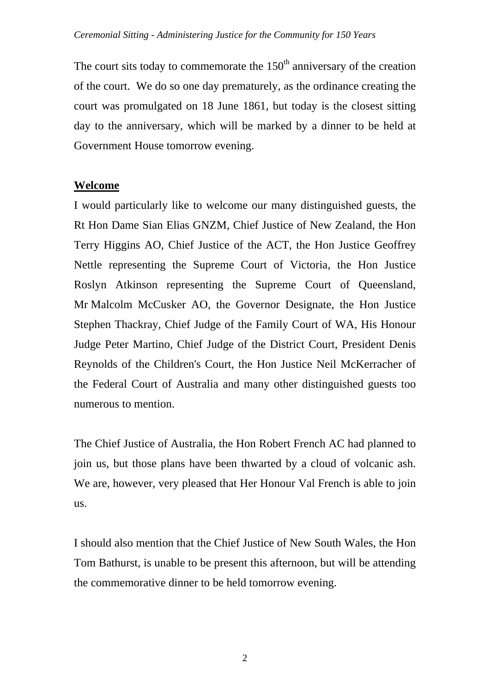The court sits today to commemorate the  $150<sup>th</sup>$  anniversary of the creation of the court. We do so one day prematurely, as the ordinance creating the court was promulgated on 18 June 1861, but today is the closest sitting day to the anniversary, which will be marked by a dinner to be held at Government House tomorrow evening.

## **Welcome**

I would particularly like to welcome our many distinguished guests, the Rt Hon Dame Sian Elias GNZM, Chief Justice of New Zealand, the Hon Terry Higgins AO, Chief Justice of the ACT, the Hon Justice Geoffrey Nettle representing the Supreme Court of Victoria, the Hon Justice Roslyn Atkinson representing the Supreme Court of Queensland, Mr Malcolm McCusker AO, the Governor Designate, the Hon Justice Stephen Thackray, Chief Judge of the Family Court of WA, His Honour Judge Peter Martino, Chief Judge of the District Court, President Denis Reynolds of the Children's Court, the Hon Justice Neil McKerracher of the Federal Court of Australia and many other distinguished guests too numerous to mention.

The Chief Justice of Australia, the Hon Robert French AC had planned to join us, but those plans have been thwarted by a cloud of volcanic ash. We are, however, very pleased that Her Honour Val French is able to join us.

I should also mention that the Chief Justice of New South Wales, the Hon Tom Bathurst, is unable to be present this afternoon, but will be attending the commemorative dinner to be held tomorrow evening.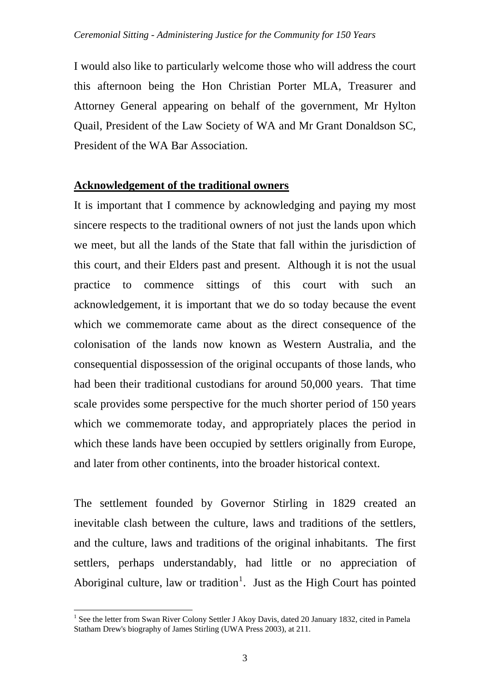I would also like to particularly welcome those who will address the court this afternoon being the Hon Christian Porter MLA, Treasurer and Attorney General appearing on behalf of the government, Mr Hylton Quail, President of the Law Society of WA and Mr Grant Donaldson SC, President of the WA Bar Association.

## **Acknowledgement of the traditional owners**

It is important that I commence by acknowledging and paying my most sincere respects to the traditional owners of not just the lands upon which we meet, but all the lands of the State that fall within the jurisdiction of this court, and their Elders past and present. Although it is not the usual practice to commence sittings of this court with such an acknowledgement, it is important that we do so today because the event which we commemorate came about as the direct consequence of the colonisation of the lands now known as Western Australia, and the consequential dispossession of the original occupants of those lands, who had been their traditional custodians for around 50,000 years. That time scale provides some perspective for the much shorter period of 150 years which we commemorate today, and appropriately places the period in which these lands have been occupied by settlers originally from Europe, and later from other continents, into the broader historical context.

The settlement founded by Governor Stirling in 1829 created an inevitable clash between the culture, laws and traditions of the settlers, and the culture, laws and traditions of the original inhabitants. The first settlers, perhaps understandably, had little or no appreciation of Aboriginal culture, law or tradition<sup>[1](#page-2-0)</sup>. Just as the High Court has pointed

<span id="page-2-0"></span> $\overline{a}$ <sup>1</sup> See the letter from Swan River Colony Settler J Akoy Davis, dated 20 January 1832, cited in Pamela Statham Drew's biography of James Stirling (UWA Press 2003), at 211.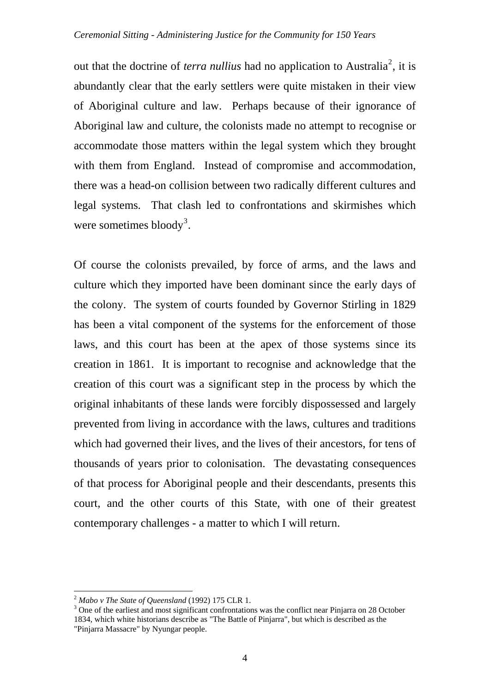out that the doctrine of *terra nullius* had no application to Australia<sup>[2](#page-3-0)</sup>, it is abundantly clear that the early settlers were quite mistaken in their view of Aboriginal culture and law. Perhaps because of their ignorance of Aboriginal law and culture, the colonists made no attempt to recognise or accommodate those matters within the legal system which they brought with them from England. Instead of compromise and accommodation, there was a head-on collision between two radically different cultures and legal systems. That clash led to confrontations and skirmishes which were sometimes bloody<sup>[3](#page-3-1)</sup>.

Of course the colonists prevailed, by force of arms, and the laws and culture which they imported have been dominant since the early days of the colony. The system of courts founded by Governor Stirling in 1829 has been a vital component of the systems for the enforcement of those laws, and this court has been at the apex of those systems since its creation in 1861. It is important to recognise and acknowledge that the creation of this court was a significant step in the process by which the original inhabitants of these lands were forcibly dispossessed and largely prevented from living in accordance with the laws, cultures and traditions which had governed their lives, and the lives of their ancestors, for tens of thousands of years prior to colonisation. The devastating consequences of that process for Aboriginal people and their descendants, presents this court, and the other courts of this State, with one of their greatest contemporary challenges - a matter to which I will return.

<span id="page-3-0"></span> $^{2}$  *Mabo v The State of Oueensland* (1992) 175 CLR 1.

<span id="page-3-1"></span><sup>&</sup>lt;sup>3</sup> One of the earliest and most significant confrontations was the conflict near Pinjarra on 28 October 1834, which white historians describe as "The Battle of Pinjarra", but which is described as the "Pinjarra Massacre" by Nyungar people.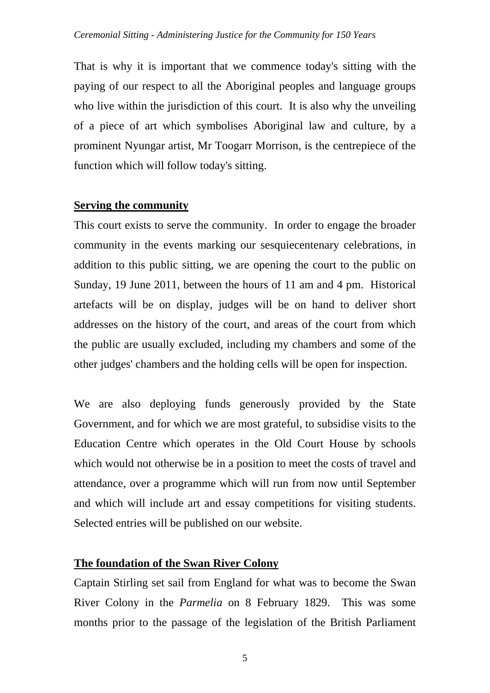That is why it is important that we commence today's sitting with the paying of our respect to all the Aboriginal peoples and language groups who live within the jurisdiction of this court. It is also why the unveiling of a piece of art which symbolises Aboriginal law and culture, by a prominent Nyungar artist, Mr Toogarr Morrison, is the centrepiece of the function which will follow today's sitting.

## **Serving the community**

This court exists to serve the community. In order to engage the broader community in the events marking our sesquiecentenary celebrations, in addition to this public sitting, we are opening the court to the public on Sunday, 19 June 2011, between the hours of 11 am and 4 pm. Historical artefacts will be on display, judges will be on hand to deliver short addresses on the history of the court, and areas of the court from which the public are usually excluded, including my chambers and some of the other judges' chambers and the holding cells will be open for inspection.

We are also deploying funds generously provided by the State Government, and for which we are most grateful, to subsidise visits to the Education Centre which operates in the Old Court House by schools which would not otherwise be in a position to meet the costs of travel and attendance, over a programme which will run from now until September and which will include art and essay competitions for visiting students. Selected entries will be published on our website.

## **The foundation of the Swan River Colony**

Captain Stirling set sail from England for what was to become the Swan River Colony in the *Parmelia* on 8 February 1829. This was some months prior to the passage of the legislation of the British Parliament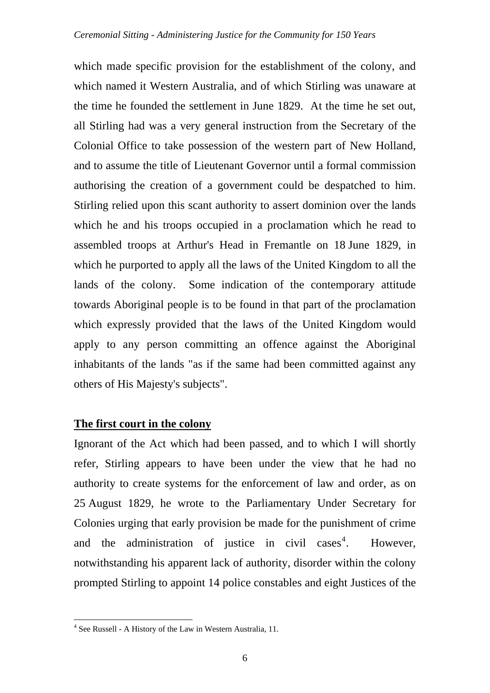which made specific provision for the establishment of the colony, and which named it Western Australia, and of which Stirling was unaware at the time he founded the settlement in June 1829. At the time he set out, all Stirling had was a very general instruction from the Secretary of the Colonial Office to take possession of the western part of New Holland, and to assume the title of Lieutenant Governor until a formal commission authorising the creation of a government could be despatched to him. Stirling relied upon this scant authority to assert dominion over the lands which he and his troops occupied in a proclamation which he read to assembled troops at Arthur's Head in Fremantle on 18 June 1829, in which he purported to apply all the laws of the United Kingdom to all the lands of the colony. Some indication of the contemporary attitude towards Aboriginal people is to be found in that part of the proclamation which expressly provided that the laws of the United Kingdom would apply to any person committing an offence against the Aboriginal inhabitants of the lands "as if the same had been committed against any others of His Majesty's subjects".

## **The first court in the colony**

Ignorant of the Act which had been passed, and to which I will shortly refer, Stirling appears to have been under the view that he had no authority to create systems for the enforcement of law and order, as on 25 August 1829, he wrote to the Parliamentary Under Secretary for Colonies urging that early provision be made for the punishment of crime and the administration of justice in civil cases<sup>[4](#page-5-0)</sup>. . However, notwithstanding his apparent lack of authority, disorder within the colony prompted Stirling to appoint 14 police constables and eight Justices of the

<span id="page-5-0"></span> 4 See Russell - A History of the Law in Western Australia, 11.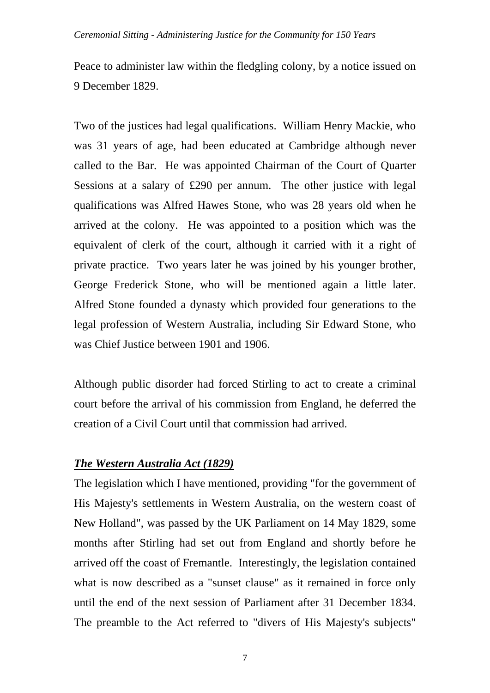#### *Ceremonial Sitting - Administering Justice for the Community for 150 Years*

Peace to administer law within the fledgling colony, by a notice issued on 9 December 1829.

Two of the justices had legal qualifications. William Henry Mackie, who was 31 years of age, had been educated at Cambridge although never called to the Bar. He was appointed Chairman of the Court of Quarter Sessions at a salary of £290 per annum. The other justice with legal qualifications was Alfred Hawes Stone, who was 28 years old when he arrived at the colony. He was appointed to a position which was the equivalent of clerk of the court, although it carried with it a right of private practice. Two years later he was joined by his younger brother, George Frederick Stone, who will be mentioned again a little later. Alfred Stone founded a dynasty which provided four generations to the legal profession of Western Australia, including Sir Edward Stone, who was Chief Justice between 1901 and 1906.

Although public disorder had forced Stirling to act to create a criminal court before the arrival of his commission from England, he deferred the creation of a Civil Court until that commission had arrived.

## *The Western Australia Act (1829)*

The legislation which I have mentioned, providing "for the government of His Majesty's settlements in Western Australia, on the western coast of New Holland", was passed by the UK Parliament on 14 May 1829, some months after Stirling had set out from England and shortly before he arrived off the coast of Fremantle. Interestingly, the legislation contained what is now described as a "sunset clause" as it remained in force only until the end of the next session of Parliament after 31 December 1834. The preamble to the Act referred to "divers of His Majesty's subjects"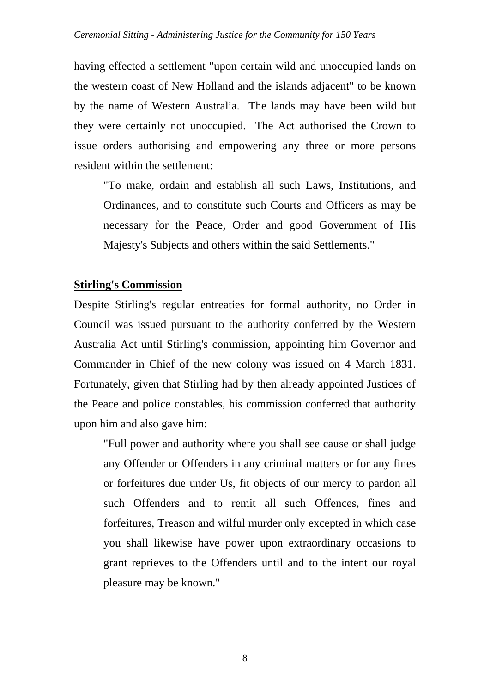having effected a settlement "upon certain wild and unoccupied lands on the western coast of New Holland and the islands adjacent" to be known by the name of Western Australia. The lands may have been wild but they were certainly not unoccupied. The Act authorised the Crown to issue orders authorising and empowering any three or more persons resident within the settlement:

"To make, ordain and establish all such Laws, Institutions, and Ordinances, and to constitute such Courts and Officers as may be necessary for the Peace, Order and good Government of His Majesty's Subjects and others within the said Settlements."

## **Stirling's Commission**

Despite Stirling's regular entreaties for formal authority, no Order in Council was issued pursuant to the authority conferred by the Western Australia Act until Stirling's commission, appointing him Governor and Commander in Chief of the new colony was issued on 4 March 1831. Fortunately, given that Stirling had by then already appointed Justices of the Peace and police constables, his commission conferred that authority upon him and also gave him:

"Full power and authority where you shall see cause or shall judge any Offender or Offenders in any criminal matters or for any fines or forfeitures due under Us, fit objects of our mercy to pardon all such Offenders and to remit all such Offences, fines and forfeitures, Treason and wilful murder only excepted in which case you shall likewise have power upon extraordinary occasions to grant reprieves to the Offenders until and to the intent our royal pleasure may be known."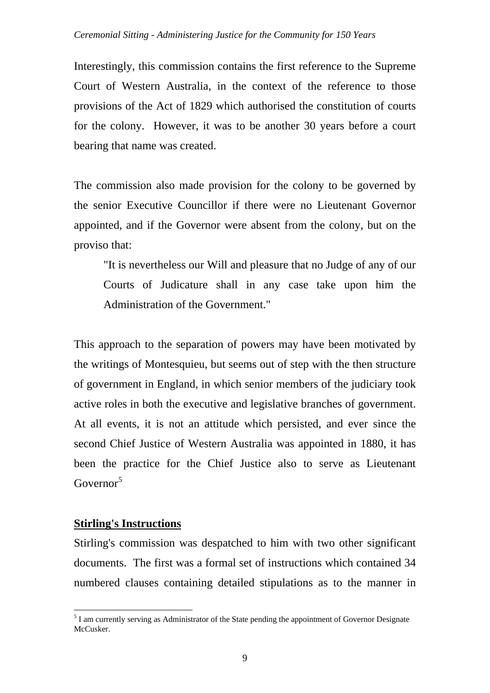Interestingly, this commission contains the first reference to the Supreme Court of Western Australia, in the context of the reference to those provisions of the Act of 1829 which authorised the constitution of courts for the colony. However, it was to be another 30 years before a court bearing that name was created.

The commission also made provision for the colony to be governed by the senior Executive Councillor if there were no Lieutenant Governor appointed, and if the Governor were absent from the colony, but on the proviso that:

"It is nevertheless our Will and pleasure that no Judge of any of our Courts of Judicature shall in any case take upon him the Administration of the Government."

This approach to the separation of powers may have been motivated by the writings of Montesquieu, but seems out of step with the then structure of government in England, in which senior members of the judiciary took active roles in both the executive and legislative branches of government. At all events, it is not an attitude which persisted, and ever since the second Chief Justice of Western Australia was appointed in 1880, it has been the practice for the Chief Justice also to serve as Lieutenant Governor<sup>[5](#page-8-0)</sup>

## **Stirling's Instructions**

Stirling's commission was despatched to him with two other significant documents. The first was a formal set of instructions which contained 34 numbered clauses containing detailed stipulations as to the manner in

<span id="page-8-0"></span> $\overline{a}$  $<sup>5</sup>$  I am currently serving as Administrator of the State pending the appointment of Governor Designate</sup> McCusker.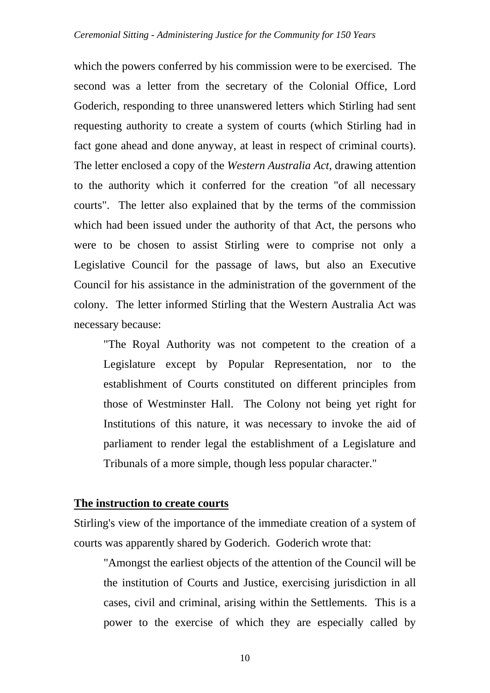which the powers conferred by his commission were to be exercised. The second was a letter from the secretary of the Colonial Office, Lord Goderich, responding to three unanswered letters which Stirling had sent requesting authority to create a system of courts (which Stirling had in fact gone ahead and done anyway, at least in respect of criminal courts). The letter enclosed a copy of the *Western Australia Act*, drawing attention to the authority which it conferred for the creation "of all necessary courts". The letter also explained that by the terms of the commission which had been issued under the authority of that Act, the persons who were to be chosen to assist Stirling were to comprise not only a Legislative Council for the passage of laws, but also an Executive Council for his assistance in the administration of the government of the colony. The letter informed Stirling that the Western Australia Act was necessary because:

"The Royal Authority was not competent to the creation of a Legislature except by Popular Representation, nor to the establishment of Courts constituted on different principles from those of Westminster Hall. The Colony not being yet right for Institutions of this nature, it was necessary to invoke the aid of parliament to render legal the establishment of a Legislature and Tribunals of a more simple, though less popular character."

### **The instruction to create courts**

Stirling's view of the importance of the immediate creation of a system of courts was apparently shared by Goderich. Goderich wrote that:

"Amongst the earliest objects of the attention of the Council will be the institution of Courts and Justice, exercising jurisdiction in all cases, civil and criminal, arising within the Settlements. This is a power to the exercise of which they are especially called by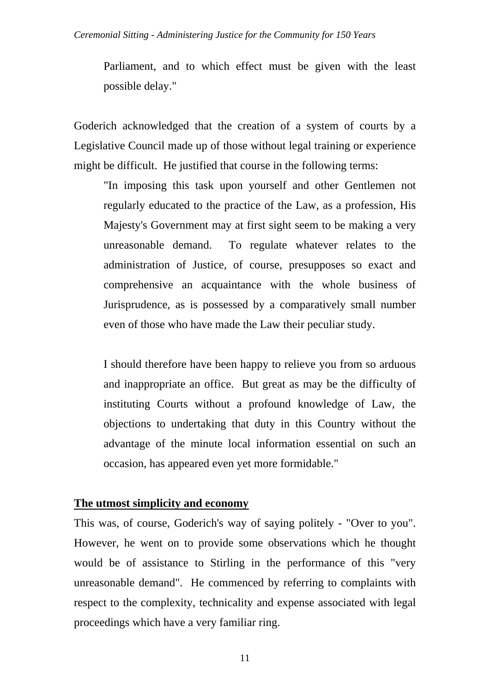Parliament, and to which effect must be given with the least possible delay."

Goderich acknowledged that the creation of a system of courts by a Legislative Council made up of those without legal training or experience might be difficult. He justified that course in the following terms:

"In imposing this task upon yourself and other Gentlemen not regularly educated to the practice of the Law, as a profession, His Majesty's Government may at first sight seem to be making a very unreasonable demand. To regulate whatever relates to the administration of Justice, of course, presupposes so exact and comprehensive an acquaintance with the whole business of Jurisprudence, as is possessed by a comparatively small number even of those who have made the Law their peculiar study.

I should therefore have been happy to relieve you from so arduous and inappropriate an office. But great as may be the difficulty of instituting Courts without a profound knowledge of Law, the objections to undertaking that duty in this Country without the advantage of the minute local information essential on such an occasion, has appeared even yet more formidable."

#### **The utmost simplicity and economy**

This was, of course, Goderich's way of saying politely - "Over to you". However, he went on to provide some observations which he thought would be of assistance to Stirling in the performance of this "very unreasonable demand". He commenced by referring to complaints with respect to the complexity, technicality and expense associated with legal proceedings which have a very familiar ring.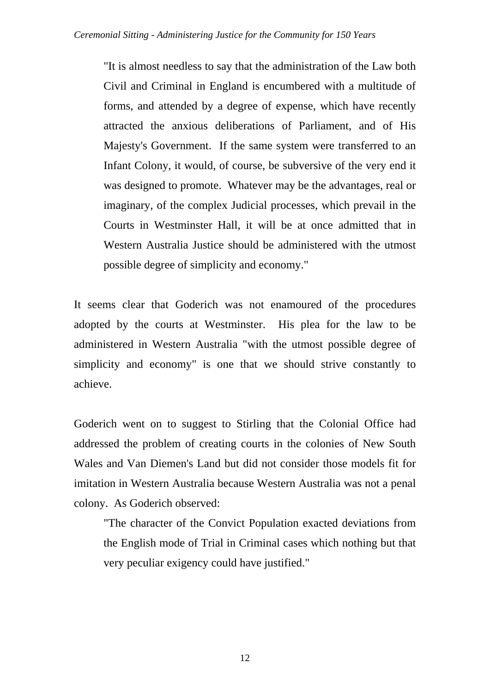"It is almost needless to say that the administration of the Law both Civil and Criminal in England is encumbered with a multitude of forms, and attended by a degree of expense, which have recently attracted the anxious deliberations of Parliament, and of His Majesty's Government. If the same system were transferred to an Infant Colony, it would, of course, be subversive of the very end it was designed to promote. Whatever may be the advantages, real or imaginary, of the complex Judicial processes, which prevail in the Courts in Westminster Hall, it will be at once admitted that in Western Australia Justice should be administered with the utmost possible degree of simplicity and economy."

It seems clear that Goderich was not enamoured of the procedures adopted by the courts at Westminster. His plea for the law to be administered in Western Australia "with the utmost possible degree of simplicity and economy" is one that we should strive constantly to achieve.

Goderich went on to suggest to Stirling that the Colonial Office had addressed the problem of creating courts in the colonies of New South Wales and Van Diemen's Land but did not consider those models fit for imitation in Western Australia because Western Australia was not a penal colony. As Goderich observed:

"The character of the Convict Population exacted deviations from the English mode of Trial in Criminal cases which nothing but that very peculiar exigency could have justified."

12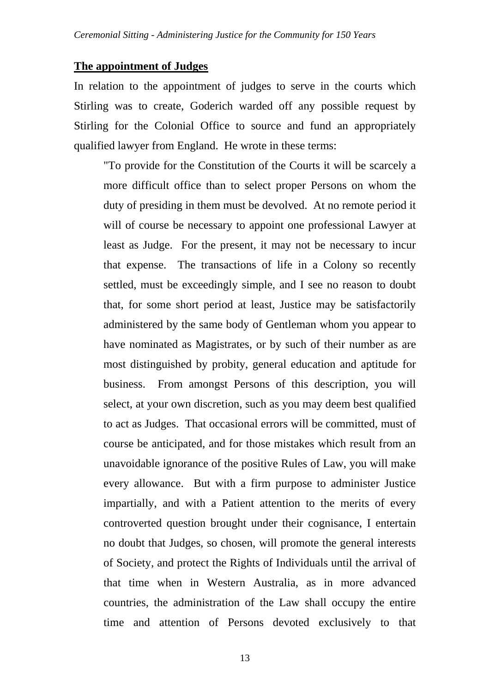#### **The appointment of Judges**

In relation to the appointment of judges to serve in the courts which Stirling was to create, Goderich warded off any possible request by Stirling for the Colonial Office to source and fund an appropriately qualified lawyer from England. He wrote in these terms:

"To provide for the Constitution of the Courts it will be scarcely a more difficult office than to select proper Persons on whom the duty of presiding in them must be devolved. At no remote period it will of course be necessary to appoint one professional Lawyer at least as Judge. For the present, it may not be necessary to incur that expense. The transactions of life in a Colony so recently settled, must be exceedingly simple, and I see no reason to doubt that, for some short period at least, Justice may be satisfactorily administered by the same body of Gentleman whom you appear to have nominated as Magistrates, or by such of their number as are most distinguished by probity, general education and aptitude for business. From amongst Persons of this description, you will select, at your own discretion, such as you may deem best qualified to act as Judges. That occasional errors will be committed, must of course be anticipated, and for those mistakes which result from an unavoidable ignorance of the positive Rules of Law, you will make every allowance. But with a firm purpose to administer Justice impartially, and with a Patient attention to the merits of every controverted question brought under their cognisance, I entertain no doubt that Judges, so chosen, will promote the general interests of Society, and protect the Rights of Individuals until the arrival of that time when in Western Australia, as in more advanced countries, the administration of the Law shall occupy the entire time and attention of Persons devoted exclusively to that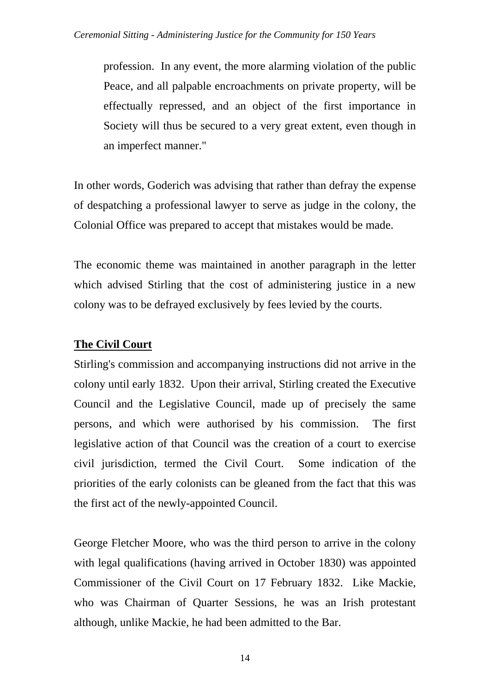profession. In any event, the more alarming violation of the public Peace, and all palpable encroachments on private property, will be effectually repressed, and an object of the first importance in Society will thus be secured to a very great extent, even though in an imperfect manner."

In other words, Goderich was advising that rather than defray the expense of despatching a professional lawyer to serve as judge in the colony, the Colonial Office was prepared to accept that mistakes would be made.

The economic theme was maintained in another paragraph in the letter which advised Stirling that the cost of administering justice in a new colony was to be defrayed exclusively by fees levied by the courts.

# **The Civil Court**

Stirling's commission and accompanying instructions did not arrive in the colony until early 1832. Upon their arrival, Stirling created the Executive Council and the Legislative Council, made up of precisely the same persons, and which were authorised by his commission. The first legislative action of that Council was the creation of a court to exercise civil jurisdiction, termed the Civil Court. Some indication of the priorities of the early colonists can be gleaned from the fact that this was the first act of the newly-appointed Council.

George Fletcher Moore, who was the third person to arrive in the colony with legal qualifications (having arrived in October 1830) was appointed Commissioner of the Civil Court on 17 February 1832. Like Mackie, who was Chairman of Quarter Sessions, he was an Irish protestant although, unlike Mackie, he had been admitted to the Bar.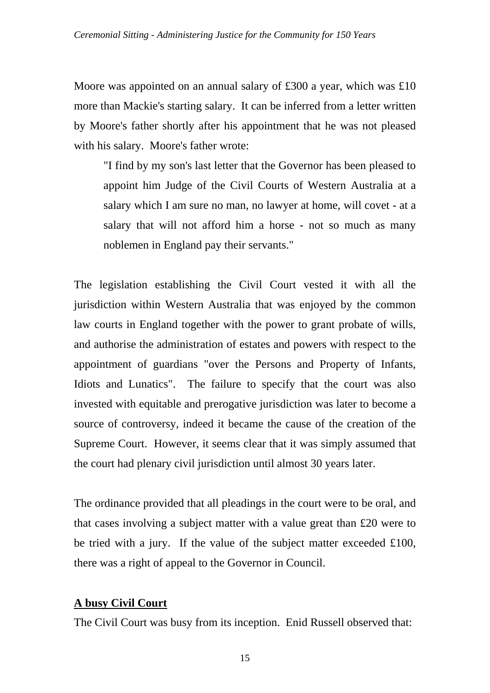Moore was appointed on an annual salary of £300 a year, which was £10 more than Mackie's starting salary. It can be inferred from a letter written by Moore's father shortly after his appointment that he was not pleased with his salary. Moore's father wrote:

"I find by my son's last letter that the Governor has been pleased to appoint him Judge of the Civil Courts of Western Australia at a salary which I am sure no man, no lawyer at home, will covet - at a salary that will not afford him a horse - not so much as many noblemen in England pay their servants."

The legislation establishing the Civil Court vested it with all the jurisdiction within Western Australia that was enjoyed by the common law courts in England together with the power to grant probate of wills, and authorise the administration of estates and powers with respect to the appointment of guardians "over the Persons and Property of Infants, Idiots and Lunatics". The failure to specify that the court was also invested with equitable and prerogative jurisdiction was later to become a source of controversy, indeed it became the cause of the creation of the Supreme Court. However, it seems clear that it was simply assumed that the court had plenary civil jurisdiction until almost 30 years later.

The ordinance provided that all pleadings in the court were to be oral, and that cases involving a subject matter with a value great than £20 were to be tried with a jury. If the value of the subject matter exceeded £100, there was a right of appeal to the Governor in Council.

## **A busy Civil Court**

The Civil Court was busy from its inception. Enid Russell observed that: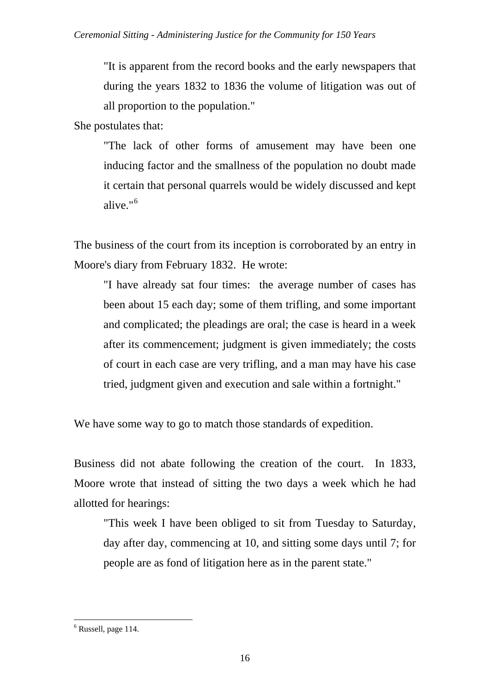"It is apparent from the record books and the early newspapers that during the years 1832 to 1836 the volume of litigation was out of all proportion to the population."

She postulates that:

"The lack of other forms of amusement may have been one inducing factor and the smallness of the population no doubt made it certain that personal quarrels would be widely discussed and kept alive."[6](#page-15-0)

The business of the court from its inception is corroborated by an entry in Moore's diary from February 1832. He wrote:

"I have already sat four times: the average number of cases has been about 15 each day; some of them trifling, and some important and complicated; the pleadings are oral; the case is heard in a week after its commencement; judgment is given immediately; the costs of court in each case are very trifling, and a man may have his case tried, judgment given and execution and sale within a fortnight."

We have some way to go to match those standards of expedition.

Business did not abate following the creation of the court. In 1833, Moore wrote that instead of sitting the two days a week which he had allotted for hearings:

"This week I have been obliged to sit from Tuesday to Saturday, day after day, commencing at 10, and sitting some days until 7; for people are as fond of litigation here as in the parent state."

<span id="page-15-0"></span><sup>6</sup> Russell, page 114.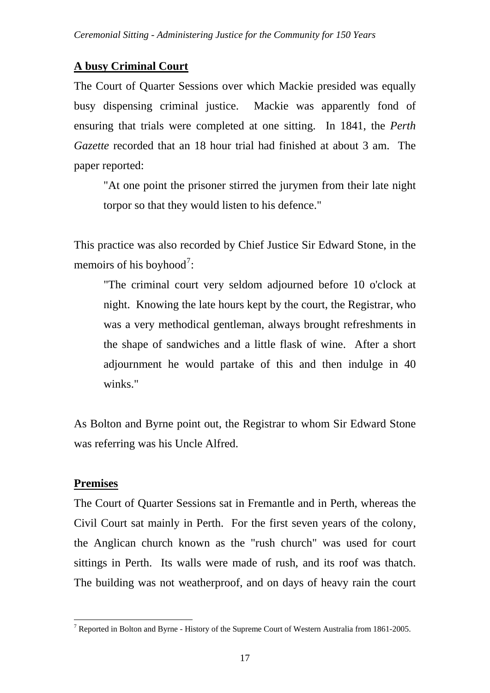# **A busy Criminal Court**

The Court of Quarter Sessions over which Mackie presided was equally busy dispensing criminal justice. Mackie was apparently fond of ensuring that trials were completed at one sitting. In 1841, the *Perth Gazette* recorded that an 18 hour trial had finished at about 3 am. The paper reported:

"At one point the prisoner stirred the jurymen from their late night torpor so that they would listen to his defence."

This practice was also recorded by Chief Justice Sir Edward Stone, in the memoirs of his boyhood<sup>[7](#page-16-0)</sup>:

"The criminal court very seldom adjourned before 10 o'clock at night. Knowing the late hours kept by the court, the Registrar, who was a very methodical gentleman, always brought refreshments in the shape of sandwiches and a little flask of wine. After a short adjournment he would partake of this and then indulge in 40 winks."

As Bolton and Byrne point out, the Registrar to whom Sir Edward Stone was referring was his Uncle Alfred.

# **Premises**

 $\overline{a}$ 

The Court of Quarter Sessions sat in Fremantle and in Perth, whereas the Civil Court sat mainly in Perth. For the first seven years of the colony, the Anglican church known as the "rush church" was used for court sittings in Perth. Its walls were made of rush, and its roof was thatch. The building was not weatherproof, and on days of heavy rain the court

<span id="page-16-0"></span><sup>&</sup>lt;sup>7</sup> Reported in Bolton and Byrne - History of the Supreme Court of Western Australia from 1861-2005.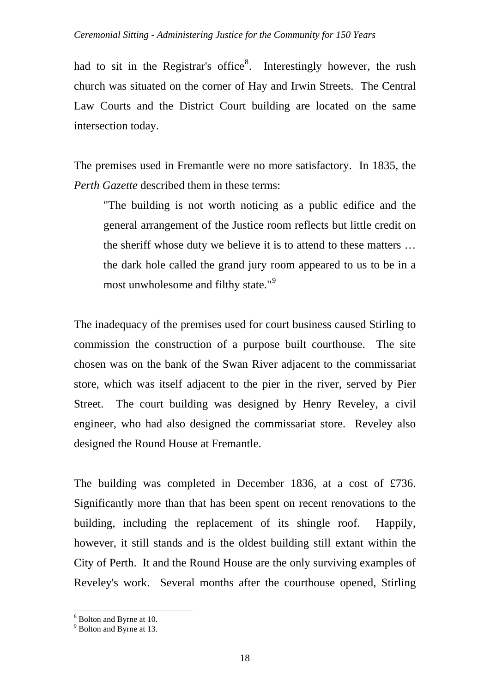had to sit in the Registrar's office<sup>[8](#page-17-0)</sup>. Interestingly however, the rush church was situated on the corner of Hay and Irwin Streets. The Central Law Courts and the District Court building are located on the same intersection today.

The premises used in Fremantle were no more satisfactory. In 1835, the *Perth Gazette* described them in these terms:

"The building is not worth noticing as a public edifice and the general arrangement of the Justice room reflects but little credit on the sheriff whose duty we believe it is to attend to these matters … the dark hole called the grand jury room appeared to us to be in a most unwholesome and filthy state."<sup>[9](#page-17-1)</sup>

The inadequacy of the premises used for court business caused Stirling to commission the construction of a purpose built courthouse. The site chosen was on the bank of the Swan River adjacent to the commissariat store, which was itself adjacent to the pier in the river, served by Pier Street. The court building was designed by Henry Reveley, a civil engineer, who had also designed the commissariat store. Reveley also designed the Round House at Fremantle.

The building was completed in December 1836, at a cost of £736. Significantly more than that has been spent on recent renovations to the building, including the replacement of its shingle roof. Happily, however, it still stands and is the oldest building still extant within the City of Perth. It and the Round House are the only surviving examples of Reveley's work. Several months after the courthouse opened, Stirling

<span id="page-17-0"></span><sup>&</sup>lt;sup>8</sup> Bolton and Byrne at 10.

<span id="page-17-1"></span><sup>&</sup>lt;sup>9</sup> Bolton and Byrne at 13.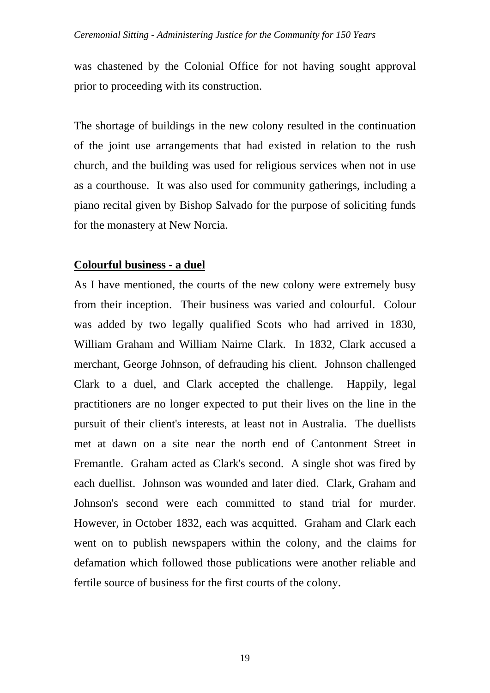was chastened by the Colonial Office for not having sought approval prior to proceeding with its construction.

The shortage of buildings in the new colony resulted in the continuation of the joint use arrangements that had existed in relation to the rush church, and the building was used for religious services when not in use as a courthouse. It was also used for community gatherings, including a piano recital given by Bishop Salvado for the purpose of soliciting funds for the monastery at New Norcia.

### **Colourful business - a duel**

As I have mentioned, the courts of the new colony were extremely busy from their inception. Their business was varied and colourful. Colour was added by two legally qualified Scots who had arrived in 1830, William Graham and William Nairne Clark. In 1832, Clark accused a merchant, George Johnson, of defrauding his client. Johnson challenged Clark to a duel, and Clark accepted the challenge. Happily, legal practitioners are no longer expected to put their lives on the line in the pursuit of their client's interests, at least not in Australia. The duellists met at dawn on a site near the north end of Cantonment Street in Fremantle. Graham acted as Clark's second. A single shot was fired by each duellist. Johnson was wounded and later died. Clark, Graham and Johnson's second were each committed to stand trial for murder. However, in October 1832, each was acquitted. Graham and Clark each went on to publish newspapers within the colony, and the claims for defamation which followed those publications were another reliable and fertile source of business for the first courts of the colony.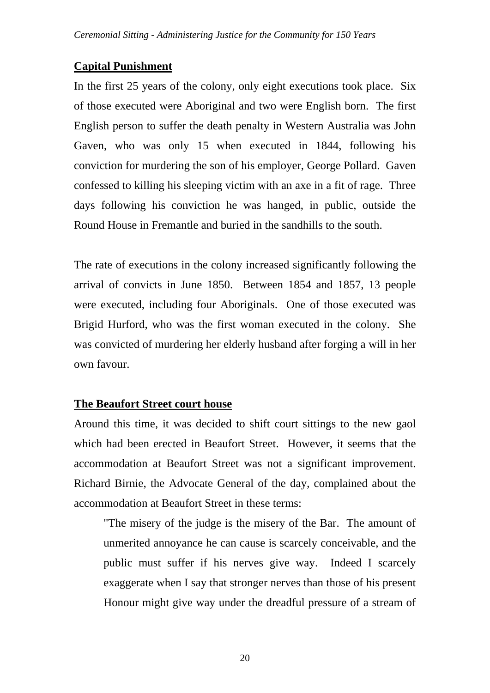## **Capital Punishment**

In the first 25 years of the colony, only eight executions took place. Six of those executed were Aboriginal and two were English born. The first English person to suffer the death penalty in Western Australia was John Gaven, who was only 15 when executed in 1844, following his conviction for murdering the son of his employer, George Pollard. Gaven confessed to killing his sleeping victim with an axe in a fit of rage. Three days following his conviction he was hanged, in public, outside the Round House in Fremantle and buried in the sandhills to the south.

The rate of executions in the colony increased significantly following the arrival of convicts in June 1850. Between 1854 and 1857, 13 people were executed, including four Aboriginals. One of those executed was Brigid Hurford, who was the first woman executed in the colony. She was convicted of murdering her elderly husband after forging a will in her own favour.

## **The Beaufort Street court house**

Around this time, it was decided to shift court sittings to the new gaol which had been erected in Beaufort Street. However, it seems that the accommodation at Beaufort Street was not a significant improvement. Richard Birnie, the Advocate General of the day, complained about the accommodation at Beaufort Street in these terms:

"The misery of the judge is the misery of the Bar. The amount of unmerited annoyance he can cause is scarcely conceivable, and the public must suffer if his nerves give way. Indeed I scarcely exaggerate when I say that stronger nerves than those of his present Honour might give way under the dreadful pressure of a stream of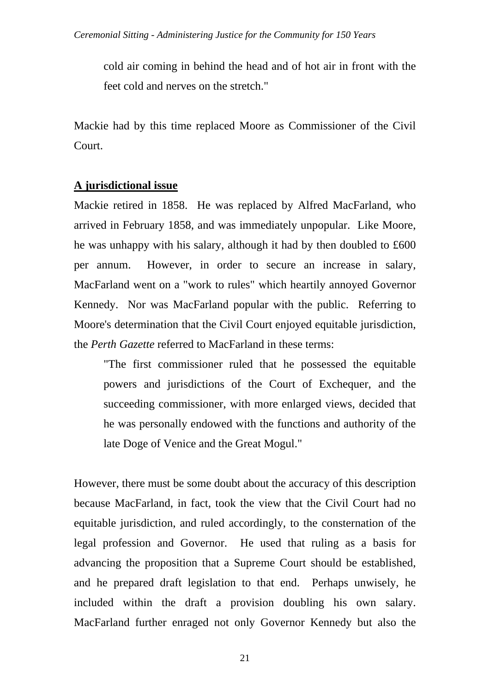cold air coming in behind the head and of hot air in front with the feet cold and nerves on the stretch."

Mackie had by this time replaced Moore as Commissioner of the Civil Court.

## **A jurisdictional issue**

Mackie retired in 1858. He was replaced by Alfred MacFarland, who arrived in February 1858, and was immediately unpopular. Like Moore, he was unhappy with his salary, although it had by then doubled to £600 per annum. However, in order to secure an increase in salary, MacFarland went on a "work to rules" which heartily annoyed Governor Kennedy. Nor was MacFarland popular with the public. Referring to Moore's determination that the Civil Court enjoyed equitable jurisdiction, the *Perth Gazette* referred to MacFarland in these terms:

"The first commissioner ruled that he possessed the equitable powers and jurisdictions of the Court of Exchequer, and the succeeding commissioner, with more enlarged views, decided that he was personally endowed with the functions and authority of the late Doge of Venice and the Great Mogul."

However, there must be some doubt about the accuracy of this description because MacFarland, in fact, took the view that the Civil Court had no equitable jurisdiction, and ruled accordingly, to the consternation of the legal profession and Governor. He used that ruling as a basis for advancing the proposition that a Supreme Court should be established, and he prepared draft legislation to that end. Perhaps unwisely, he included within the draft a provision doubling his own salary. MacFarland further enraged not only Governor Kennedy but also the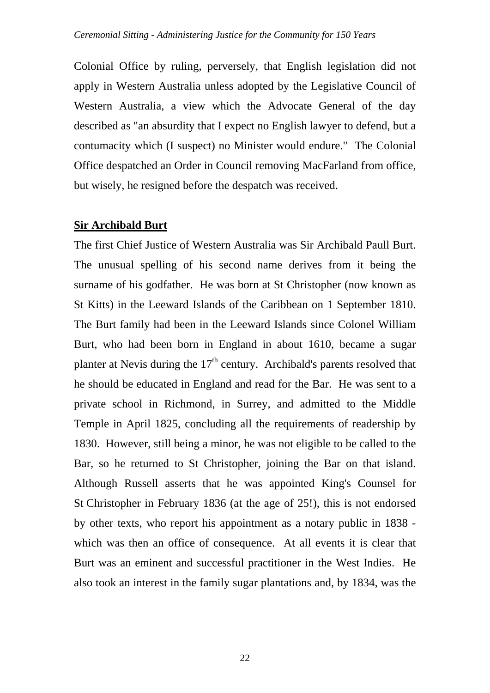Colonial Office by ruling, perversely, that English legislation did not apply in Western Australia unless adopted by the Legislative Council of Western Australia, a view which the Advocate General of the day described as "an absurdity that I expect no English lawyer to defend, but a contumacity which (I suspect) no Minister would endure." The Colonial Office despatched an Order in Council removing MacFarland from office, but wisely, he resigned before the despatch was received.

### **Sir Archibald Burt**

The first Chief Justice of Western Australia was Sir Archibald Paull Burt. The unusual spelling of his second name derives from it being the surname of his godfather. He was born at St Christopher (now known as St Kitts) in the Leeward Islands of the Caribbean on 1 September 1810. The Burt family had been in the Leeward Islands since Colonel William Burt, who had been born in England in about 1610, became a sugar planter at Nevis during the  $17<sup>th</sup>$  century. Archibald's parents resolved that he should be educated in England and read for the Bar. He was sent to a private school in Richmond, in Surrey, and admitted to the Middle Temple in April 1825, concluding all the requirements of readership by 1830. However, still being a minor, he was not eligible to be called to the Bar, so he returned to St Christopher, joining the Bar on that island. Although Russell asserts that he was appointed King's Counsel for St Christopher in February 1836 (at the age of 25!), this is not endorsed by other texts, who report his appointment as a notary public in 1838 which was then an office of consequence. At all events it is clear that Burt was an eminent and successful practitioner in the West Indies. He also took an interest in the family sugar plantations and, by 1834, was the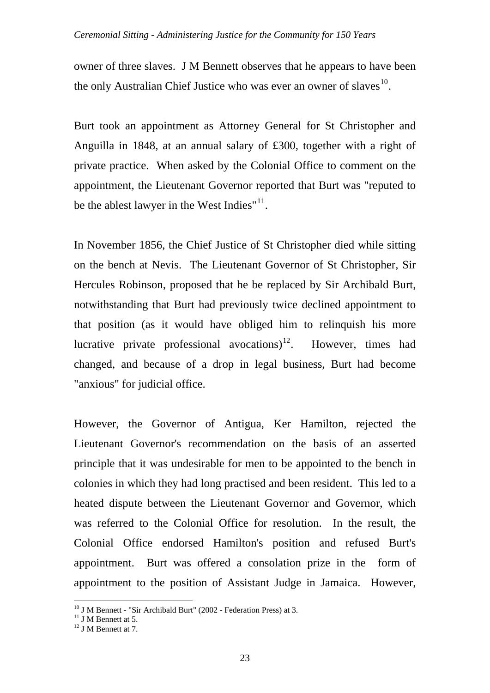owner of three slaves. J M Bennett observes that he appears to have been the only Australian Chief Justice who was ever an owner of slaves  $10<sup>10</sup>$  $10<sup>10</sup>$ .

Burt took an appointment as Attorney General for St Christopher and Anguilla in 1848, at an annual salary of £300, together with a right of private practice. When asked by the Colonial Office to comment on the appointment, the Lieutenant Governor reported that Burt was "reputed to be the ablest lawyer in the West Indies"<sup>[11](#page-22-1)</sup>.

In November 1856, the Chief Justice of St Christopher died while sitting on the bench at Nevis. The Lieutenant Governor of St Christopher, Sir Hercules Robinson, proposed that he be replaced by Sir Archibald Burt, notwithstanding that Burt had previously twice declined appointment to that position (as it would have obliged him to relinquish his more lucrative private professional avocations)<sup>[12](#page-22-2)</sup>. However, times had changed, and because of a drop in legal business, Burt had become "anxious" for judicial office.

However, the Governor of Antigua, Ker Hamilton, rejected the Lieutenant Governor's recommendation on the basis of an asserted principle that it was undesirable for men to be appointed to the bench in colonies in which they had long practised and been resident. This led to a heated dispute between the Lieutenant Governor and Governor, which was referred to the Colonial Office for resolution. In the result, the Colonial Office endorsed Hamilton's position and refused Burt's appointment. Burt was offered a consolation prize in the form of appointment to the position of Assistant Judge in Jamaica. However,

 $10$  J M Bennett - "Sir Archibald Burt" (2002 - Federation Press) at 3.

<span id="page-22-1"></span><span id="page-22-0"></span> $11$  J M Bennett at 5.

<span id="page-22-2"></span> $12 \text{ J}$  M Bennett at 7.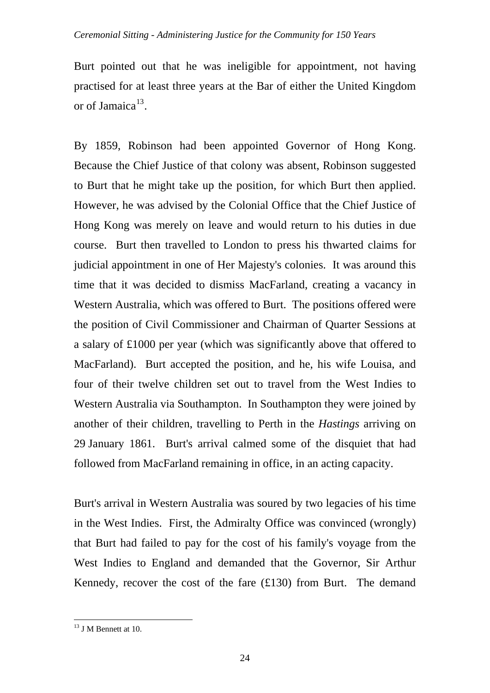#### *Ceremonial Sitting - Administering Justice for the Community for 150 Years*

Burt pointed out that he was ineligible for appointment, not having practised for at least three years at the Bar of either the United Kingdom or of Jamaica $^{13}$  $^{13}$  $^{13}$ .

By 1859, Robinson had been appointed Governor of Hong Kong. Because the Chief Justice of that colony was absent, Robinson suggested to Burt that he might take up the position, for which Burt then applied. However, he was advised by the Colonial Office that the Chief Justice of Hong Kong was merely on leave and would return to his duties in due course. Burt then travelled to London to press his thwarted claims for judicial appointment in one of Her Majesty's colonies. It was around this time that it was decided to dismiss MacFarland, creating a vacancy in Western Australia, which was offered to Burt. The positions offered were the position of Civil Commissioner and Chairman of Quarter Sessions at a salary of £1000 per year (which was significantly above that offered to MacFarland). Burt accepted the position, and he, his wife Louisa, and four of their twelve children set out to travel from the West Indies to Western Australia via Southampton. In Southampton they were joined by another of their children, travelling to Perth in the *Hastings* arriving on 29 January 1861. Burt's arrival calmed some of the disquiet that had followed from MacFarland remaining in office, in an acting capacity.

Burt's arrival in Western Australia was soured by two legacies of his time in the West Indies. First, the Admiralty Office was convinced (wrongly) that Burt had failed to pay for the cost of his family's voyage from the West Indies to England and demanded that the Governor, Sir Arthur Kennedy, recover the cost of the fare (£130) from Burt. The demand

<span id="page-23-0"></span><sup>&</sup>lt;sup>13</sup> J M Bennett at 10.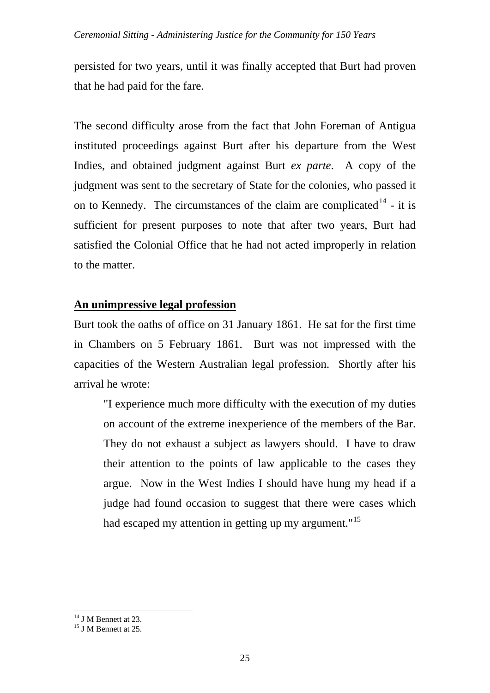persisted for two years, until it was finally accepted that Burt had proven that he had paid for the fare.

The second difficulty arose from the fact that John Foreman of Antigua instituted proceedings against Burt after his departure from the West Indies, and obtained judgment against Burt *ex parte*. A copy of the judgment was sent to the secretary of State for the colonies, who passed it on to Kennedy. The circumstances of the claim are complicated<sup>[14](#page-24-0)</sup> - it is sufficient for present purposes to note that after two years, Burt had satisfied the Colonial Office that he had not acted improperly in relation to the matter.

# **An unimpressive legal profession**

Burt took the oaths of office on 31 January 1861. He sat for the first time in Chambers on 5 February 1861. Burt was not impressed with the capacities of the Western Australian legal profession. Shortly after his arrival he wrote:

"I experience much more difficulty with the execution of my duties on account of the extreme inexperience of the members of the Bar. They do not exhaust a subject as lawyers should. I have to draw their attention to the points of law applicable to the cases they argue. Now in the West Indies I should have hung my head if a judge had found occasion to suggest that there were cases which had escaped my attention in getting up my argument."<sup>[15](#page-24-1)</sup>

 $\overline{a}$ <sup>14</sup> J M Bennett at 23.

<span id="page-24-1"></span><span id="page-24-0"></span><sup>&</sup>lt;sup>15</sup> J M Bennett at 25.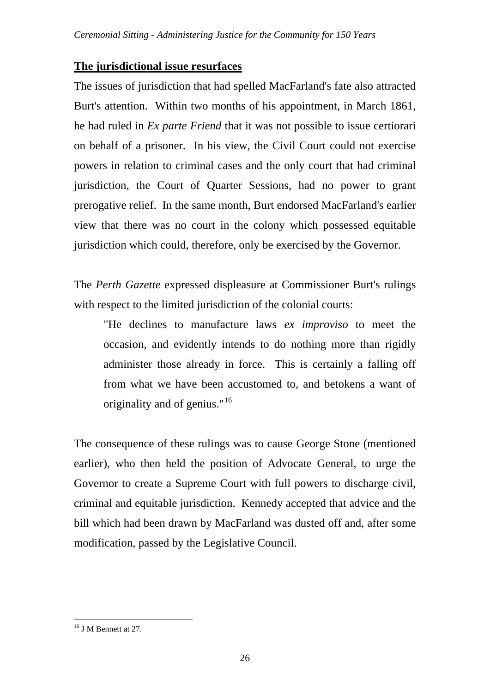## **The jurisdictional issue resurfaces**

The issues of jurisdiction that had spelled MacFarland's fate also attracted Burt's attention. Within two months of his appointment, in March 1861, he had ruled in *Ex parte Friend* that it was not possible to issue certiorari on behalf of a prisoner. In his view, the Civil Court could not exercise powers in relation to criminal cases and the only court that had criminal jurisdiction, the Court of Quarter Sessions, had no power to grant prerogative relief. In the same month, Burt endorsed MacFarland's earlier view that there was no court in the colony which possessed equitable jurisdiction which could, therefore, only be exercised by the Governor.

The *Perth Gazette* expressed displeasure at Commissioner Burt's rulings with respect to the limited jurisdiction of the colonial courts:

"He declines to manufacture laws *ex improviso* to meet the occasion, and evidently intends to do nothing more than rigidly administer those already in force. This is certainly a falling off from what we have been accustomed to, and betokens a want of originality and of genius."<sup>[16](#page-25-0)</sup>

The consequence of these rulings was to cause George Stone (mentioned earlier), who then held the position of Advocate General, to urge the Governor to create a Supreme Court with full powers to discharge civil, criminal and equitable jurisdiction. Kennedy accepted that advice and the bill which had been drawn by MacFarland was dusted off and, after some modification, passed by the Legislative Council.

<span id="page-25-0"></span><sup>&</sup>lt;sup>16</sup> J M Bennett at 27.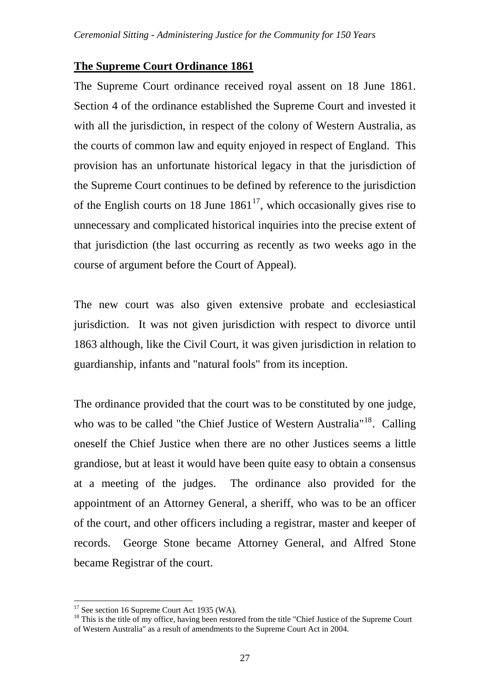### **The Supreme Court Ordinance 1861**

The Supreme Court ordinance received royal assent on 18 June 1861. Section 4 of the ordinance established the Supreme Court and invested it with all the jurisdiction, in respect of the colony of Western Australia, as the courts of common law and equity enjoyed in respect of England. This provision has an unfortunate historical legacy in that the jurisdiction of the Supreme Court continues to be defined by reference to the jurisdiction of the English courts on 18 June  $1861^{17}$  $1861^{17}$  $1861^{17}$ , which occasionally gives rise to unnecessary and complicated historical inquiries into the precise extent of that jurisdiction (the last occurring as recently as two weeks ago in the course of argument before the Court of Appeal).

The new court was also given extensive probate and ecclesiastical jurisdiction. It was not given jurisdiction with respect to divorce until 1863 although, like the Civil Court, it was given jurisdiction in relation to guardianship, infants and "natural fools" from its inception.

The ordinance provided that the court was to be constituted by one judge, who was to be called "the Chief Justice of Western Australia"<sup>[18](#page-26-1)</sup>. Calling oneself the Chief Justice when there are no other Justices seems a little grandiose, but at least it would have been quite easy to obtain a consensus at a meeting of the judges. The ordinance also provided for the appointment of an Attorney General, a sheriff, who was to be an officer of the court, and other officers including a registrar, master and keeper of records. George Stone became Attorney General, and Alfred Stone became Registrar of the court.

 $17$  See section 16 Supreme Court Act 1935 (WA).

<span id="page-26-1"></span><span id="page-26-0"></span> $18$  This is the title of my office, having been restored from the title "Chief Justice of the Supreme Court of Western Australia" as a result of amendments to the Supreme Court Act in 2004.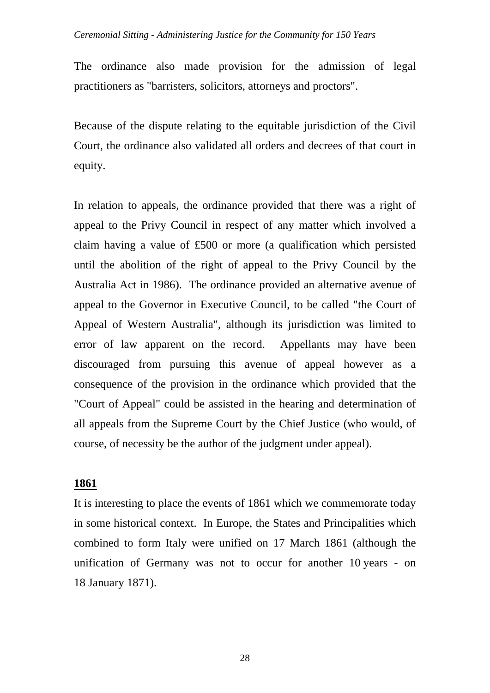#### *Ceremonial Sitting - Administering Justice for the Community for 150 Years*

The ordinance also made provision for the admission of legal practitioners as "barristers, solicitors, attorneys and proctors".

Because of the dispute relating to the equitable jurisdiction of the Civil Court, the ordinance also validated all orders and decrees of that court in equity.

In relation to appeals, the ordinance provided that there was a right of appeal to the Privy Council in respect of any matter which involved a claim having a value of £500 or more (a qualification which persisted until the abolition of the right of appeal to the Privy Council by the Australia Act in 1986). The ordinance provided an alternative avenue of appeal to the Governor in Executive Council, to be called "the Court of Appeal of Western Australia", although its jurisdiction was limited to error of law apparent on the record. Appellants may have been discouraged from pursuing this avenue of appeal however as a consequence of the provision in the ordinance which provided that the "Court of Appeal" could be assisted in the hearing and determination of all appeals from the Supreme Court by the Chief Justice (who would, of course, of necessity be the author of the judgment under appeal).

#### **1861**

It is interesting to place the events of 1861 which we commemorate today in some historical context. In Europe, the States and Principalities which combined to form Italy were unified on 17 March 1861 (although the unification of Germany was not to occur for another 10 years - on 18 January 1871).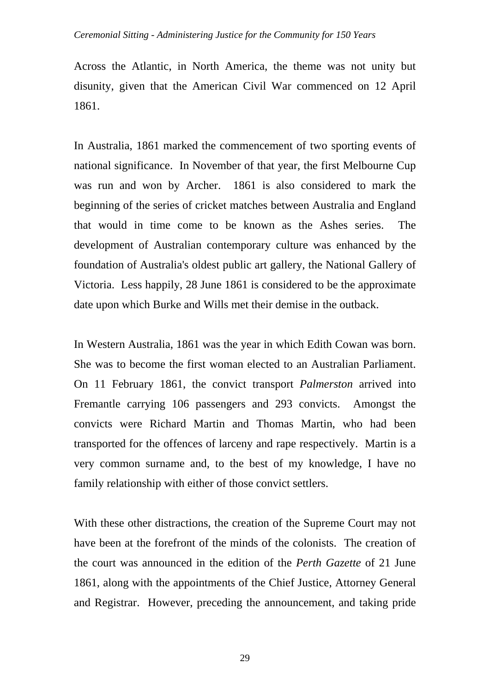#### *Ceremonial Sitting - Administering Justice for the Community for 150 Years*

Across the Atlantic, in North America, the theme was not unity but disunity, given that the American Civil War commenced on 12 April 1861.

In Australia, 1861 marked the commencement of two sporting events of national significance. In November of that year, the first Melbourne Cup was run and won by Archer. 1861 is also considered to mark the beginning of the series of cricket matches between Australia and England that would in time come to be known as the Ashes series. The development of Australian contemporary culture was enhanced by the foundation of Australia's oldest public art gallery, the National Gallery of Victoria. Less happily, 28 June 1861 is considered to be the approximate date upon which Burke and Wills met their demise in the outback.

In Western Australia, 1861 was the year in which Edith Cowan was born. She was to become the first woman elected to an Australian Parliament. On 11 February 1861, the convict transport *Palmerston* arrived into Fremantle carrying 106 passengers and 293 convicts. Amongst the convicts were Richard Martin and Thomas Martin, who had been transported for the offences of larceny and rape respectively. Martin is a very common surname and, to the best of my knowledge, I have no family relationship with either of those convict settlers.

With these other distractions, the creation of the Supreme Court may not have been at the forefront of the minds of the colonists. The creation of the court was announced in the edition of the *Perth Gazette* of 21 June 1861, along with the appointments of the Chief Justice, Attorney General and Registrar. However, preceding the announcement, and taking pride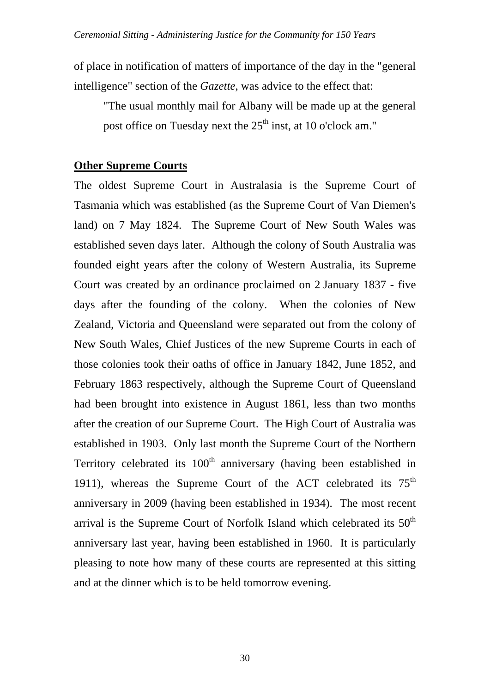of place in notification of matters of importance of the day in the "general intelligence" section of the *Gazette*, was advice to the effect that:

"The usual monthly mail for Albany will be made up at the general post office on Tuesday next the  $25<sup>th</sup>$  inst, at 10 o'clock am."

## **Other Supreme Courts**

The oldest Supreme Court in Australasia is the Supreme Court of Tasmania which was established (as the Supreme Court of Van Diemen's land) on 7 May 1824. The Supreme Court of New South Wales was established seven days later. Although the colony of South Australia was founded eight years after the colony of Western Australia, its Supreme Court was created by an ordinance proclaimed on 2 January 1837 - five days after the founding of the colony. When the colonies of New Zealand, Victoria and Queensland were separated out from the colony of New South Wales, Chief Justices of the new Supreme Courts in each of those colonies took their oaths of office in January 1842, June 1852, and February 1863 respectively, although the Supreme Court of Queensland had been brought into existence in August 1861, less than two months after the creation of our Supreme Court. The High Court of Australia was established in 1903. Only last month the Supreme Court of the Northern Territory celebrated its  $100<sup>th</sup>$  anniversary (having been established in 1911), whereas the Supreme Court of the ACT celebrated its  $75<sup>th</sup>$ anniversary in 2009 (having been established in 1934). The most recent arrival is the Supreme Court of Norfolk Island which celebrated its 50<sup>th</sup> anniversary last year, having been established in 1960. It is particularly pleasing to note how many of these courts are represented at this sitting and at the dinner which is to be held tomorrow evening.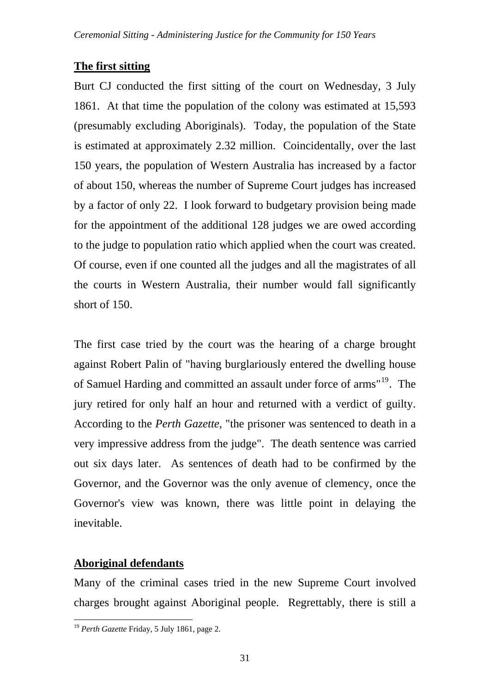## **The first sitting**

Burt CJ conducted the first sitting of the court on Wednesday, 3 July 1861. At that time the population of the colony was estimated at 15,593 (presumably excluding Aboriginals). Today, the population of the State is estimated at approximately 2.32 million. Coincidentally, over the last 150 years, the population of Western Australia has increased by a factor of about 150, whereas the number of Supreme Court judges has increased by a factor of only 22. I look forward to budgetary provision being made for the appointment of the additional 128 judges we are owed according to the judge to population ratio which applied when the court was created. Of course, even if one counted all the judges and all the magistrates of all the courts in Western Australia, their number would fall significantly short of 150.

The first case tried by the court was the hearing of a charge brought against Robert Palin of "having burglariously entered the dwelling house of Samuel Harding and committed an assault under force of arms"[19](#page-30-0). The jury retired for only half an hour and returned with a verdict of guilty. According to the *Perth Gazette*, "the prisoner was sentenced to death in a very impressive address from the judge". The death sentence was carried out six days later. As sentences of death had to be confirmed by the Governor, and the Governor was the only avenue of clemency, once the Governor's view was known, there was little point in delaying the inevitable.

## **Aboriginal defendants**

 $\overline{a}$ 

Many of the criminal cases tried in the new Supreme Court involved charges brought against Aboriginal people. Regrettably, there is still a

<span id="page-30-0"></span><sup>19</sup> *Perth Gazette* Friday, 5 July 1861, page 2.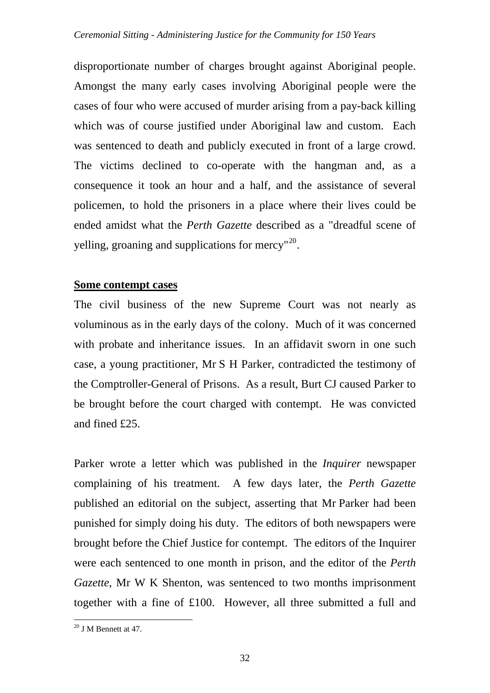disproportionate number of charges brought against Aboriginal people. Amongst the many early cases involving Aboriginal people were the cases of four who were accused of murder arising from a pay-back killing which was of course justified under Aboriginal law and custom. Each was sentenced to death and publicly executed in front of a large crowd. The victims declined to co-operate with the hangman and, as a consequence it took an hour and a half, and the assistance of several policemen, to hold the prisoners in a place where their lives could be ended amidst what the *Perth Gazette* described as a "dreadful scene of yelling, groaning and supplications for mercy"<sup>[20](#page-31-0)</sup>.

## **Some contempt cases**

The civil business of the new Supreme Court was not nearly as voluminous as in the early days of the colony. Much of it was concerned with probate and inheritance issues. In an affidavit sworn in one such case, a young practitioner, Mr S H Parker, contradicted the testimony of the Comptroller-General of Prisons. As a result, Burt CJ caused Parker to be brought before the court charged with contempt. He was convicted and fined £25.

Parker wrote a letter which was published in the *Inquirer* newspaper complaining of his treatment. A few days later, the *Perth Gazette* published an editorial on the subject, asserting that Mr Parker had been punished for simply doing his duty. The editors of both newspapers were brought before the Chief Justice for contempt. The editors of the Inquirer were each sentenced to one month in prison, and the editor of the *Perth Gazette*, Mr W K Shenton, was sentenced to two months imprisonment together with a fine of £100. However, all three submitted a full and

<span id="page-31-0"></span> $20$  J M Bennett at 47.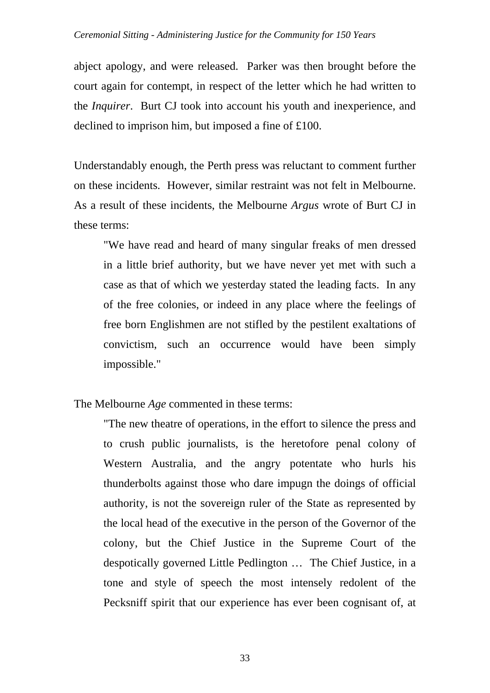abject apology, and were released. Parker was then brought before the court again for contempt, in respect of the letter which he had written to the *Inquirer*. Burt CJ took into account his youth and inexperience, and declined to imprison him, but imposed a fine of £100.

Understandably enough, the Perth press was reluctant to comment further on these incidents. However, similar restraint was not felt in Melbourne. As a result of these incidents, the Melbourne *Argus* wrote of Burt CJ in these terms:

"We have read and heard of many singular freaks of men dressed in a little brief authority, but we have never yet met with such a case as that of which we yesterday stated the leading facts. In any of the free colonies, or indeed in any place where the feelings of free born Englishmen are not stifled by the pestilent exaltations of convictism, such an occurrence would have been simply impossible."

The Melbourne *Age* commented in these terms:

"The new theatre of operations, in the effort to silence the press and to crush public journalists, is the heretofore penal colony of Western Australia, and the angry potentate who hurls his thunderbolts against those who dare impugn the doings of official authority, is not the sovereign ruler of the State as represented by the local head of the executive in the person of the Governor of the colony, but the Chief Justice in the Supreme Court of the despotically governed Little Pedlington … The Chief Justice, in a tone and style of speech the most intensely redolent of the Pecksniff spirit that our experience has ever been cognisant of, at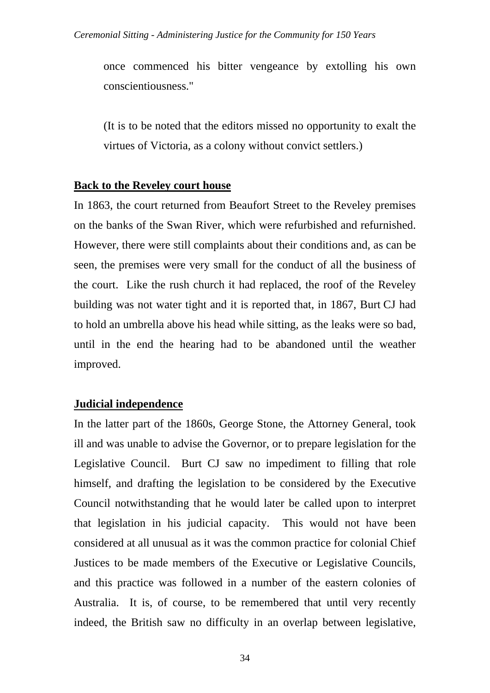once commenced his bitter vengeance by extolling his own conscientiousness."

(It is to be noted that the editors missed no opportunity to exalt the virtues of Victoria, as a colony without convict settlers.)

### **Back to the Reveley court house**

In 1863, the court returned from Beaufort Street to the Reveley premises on the banks of the Swan River, which were refurbished and refurnished. However, there were still complaints about their conditions and, as can be seen, the premises were very small for the conduct of all the business of the court. Like the rush church it had replaced, the roof of the Reveley building was not water tight and it is reported that, in 1867, Burt CJ had to hold an umbrella above his head while sitting, as the leaks were so bad, until in the end the hearing had to be abandoned until the weather improved.

## **Judicial independence**

In the latter part of the 1860s, George Stone, the Attorney General, took ill and was unable to advise the Governor, or to prepare legislation for the Legislative Council. Burt CJ saw no impediment to filling that role himself, and drafting the legislation to be considered by the Executive Council notwithstanding that he would later be called upon to interpret that legislation in his judicial capacity. This would not have been considered at all unusual as it was the common practice for colonial Chief Justices to be made members of the Executive or Legislative Councils, and this practice was followed in a number of the eastern colonies of Australia. It is, of course, to be remembered that until very recently indeed, the British saw no difficulty in an overlap between legislative,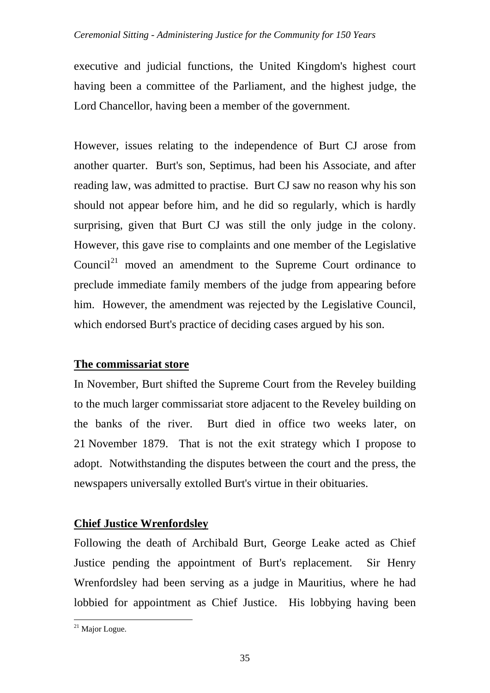### *Ceremonial Sitting - Administering Justice for the Community for 150 Years*

executive and judicial functions, the United Kingdom's highest court having been a committee of the Parliament, and the highest judge, the Lord Chancellor, having been a member of the government.

However, issues relating to the independence of Burt CJ arose from another quarter. Burt's son, Septimus, had been his Associate, and after reading law, was admitted to practise. Burt CJ saw no reason why his son should not appear before him, and he did so regularly, which is hardly surprising, given that Burt CJ was still the only judge in the colony. However, this gave rise to complaints and one member of the Legislative Council<sup>[21](#page-34-0)</sup> moved an amendment to the Supreme Court ordinance to preclude immediate family members of the judge from appearing before him. However, the amendment was rejected by the Legislative Council, which endorsed Burt's practice of deciding cases argued by his son.

## **The commissariat store**

In November, Burt shifted the Supreme Court from the Reveley building to the much larger commissariat store adjacent to the Reveley building on the banks of the river. Burt died in office two weeks later, on 21 November 1879. That is not the exit strategy which I propose to adopt. Notwithstanding the disputes between the court and the press, the newspapers universally extolled Burt's virtue in their obituaries.

## **Chief Justice Wrenfordsley**

Following the death of Archibald Burt, George Leake acted as Chief Justice pending the appointment of Burt's replacement. Sir Henry Wrenfordsley had been serving as a judge in Mauritius, where he had lobbied for appointment as Chief Justice. His lobbying having been

<span id="page-34-0"></span> $21$  Major Logue.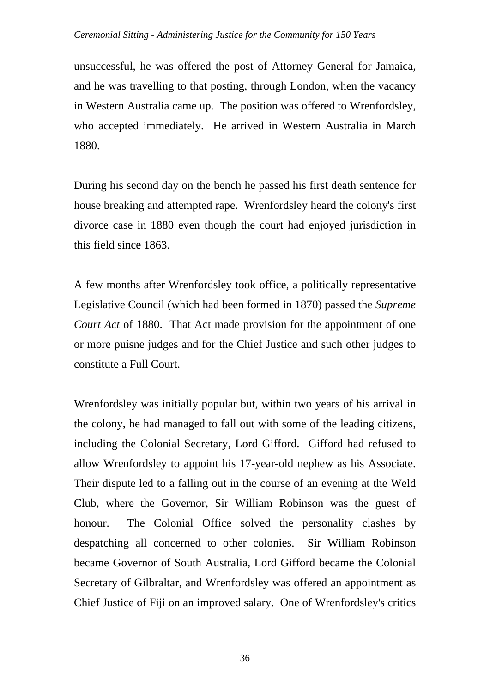#### *Ceremonial Sitting - Administering Justice for the Community for 150 Years*

unsuccessful, he was offered the post of Attorney General for Jamaica, and he was travelling to that posting, through London, when the vacancy in Western Australia came up. The position was offered to Wrenfordsley, who accepted immediately. He arrived in Western Australia in March 1880.

During his second day on the bench he passed his first death sentence for house breaking and attempted rape. Wrenfordsley heard the colony's first divorce case in 1880 even though the court had enjoyed jurisdiction in this field since 1863.

A few months after Wrenfordsley took office, a politically representative Legislative Council (which had been formed in 1870) passed the *Supreme Court Act* of 1880. That Act made provision for the appointment of one or more puisne judges and for the Chief Justice and such other judges to constitute a Full Court.

Wrenfordsley was initially popular but, within two years of his arrival in the colony, he had managed to fall out with some of the leading citizens, including the Colonial Secretary, Lord Gifford. Gifford had refused to allow Wrenfordsley to appoint his 17-year-old nephew as his Associate. Their dispute led to a falling out in the course of an evening at the Weld Club, where the Governor, Sir William Robinson was the guest of honour. The Colonial Office solved the personality clashes by despatching all concerned to other colonies. Sir William Robinson became Governor of South Australia, Lord Gifford became the Colonial Secretary of Gilbraltar, and Wrenfordsley was offered an appointment as Chief Justice of Fiji on an improved salary. One of Wrenfordsley's critics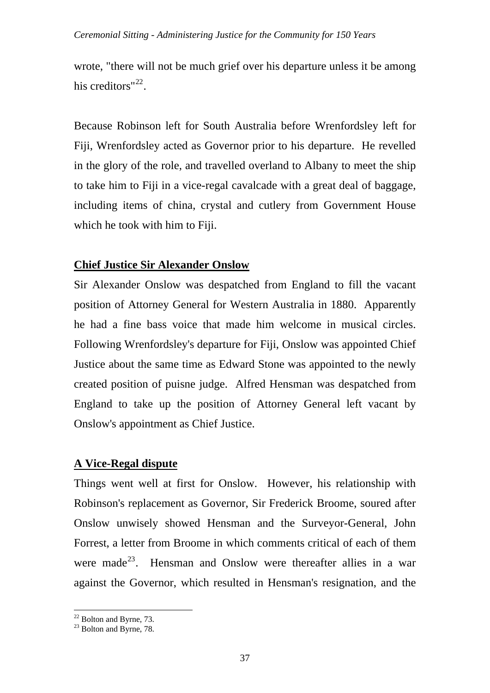wrote, "there will not be much grief over his departure unless it be among his creditors" $^{22}$  $^{22}$  $^{22}$ .

Because Robinson left for South Australia before Wrenfordsley left for Fiji, Wrenfordsley acted as Governor prior to his departure. He revelled in the glory of the role, and travelled overland to Albany to meet the ship to take him to Fiji in a vice-regal cavalcade with a great deal of baggage, including items of china, crystal and cutlery from Government House which he took with him to Fiji.

## **Chief Justice Sir Alexander Onslow**

Sir Alexander Onslow was despatched from England to fill the vacant position of Attorney General for Western Australia in 1880. Apparently he had a fine bass voice that made him welcome in musical circles. Following Wrenfordsley's departure for Fiji, Onslow was appointed Chief Justice about the same time as Edward Stone was appointed to the newly created position of puisne judge. Alfred Hensman was despatched from England to take up the position of Attorney General left vacant by Onslow's appointment as Chief Justice.

## **A Vice-Regal dispute**

Things went well at first for Onslow. However, his relationship with Robinson's replacement as Governor, Sir Frederick Broome, soured after Onslow unwisely showed Hensman and the Surveyor-General, John Forrest, a letter from Broome in which comments critical of each of them were made<sup>[23](#page-36-1)</sup>. Hensman and Onslow were thereafter allies in a war against the Governor, which resulted in Hensman's resignation, and the

 $\overline{a}$  $22$  Bolton and Byrne, 73.

<span id="page-36-1"></span><span id="page-36-0"></span> $23$  Bolton and Byrne, 78.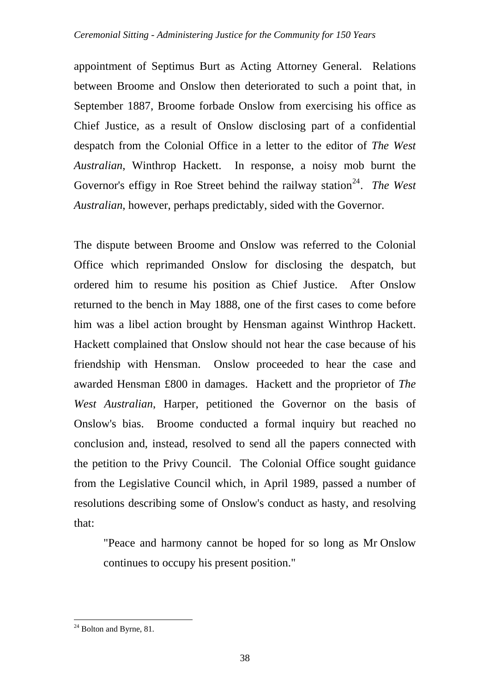appointment of Septimus Burt as Acting Attorney General. Relations between Broome and Onslow then deteriorated to such a point that, in September 1887, Broome forbade Onslow from exercising his office as Chief Justice, as a result of Onslow disclosing part of a confidential despatch from the Colonial Office in a letter to the editor of *The West Australian*, Winthrop Hackett. In response, a noisy mob burnt the Governor's effigy in Roe Street behind the railway station<sup>[24](#page-37-0)</sup>. *The West Australian*, however, perhaps predictably, sided with the Governor.

The dispute between Broome and Onslow was referred to the Colonial Office which reprimanded Onslow for disclosing the despatch, but ordered him to resume his position as Chief Justice. After Onslow returned to the bench in May 1888, one of the first cases to come before him was a libel action brought by Hensman against Winthrop Hackett. Hackett complained that Onslow should not hear the case because of his friendship with Hensman. Onslow proceeded to hear the case and awarded Hensman £800 in damages. Hackett and the proprietor of *The West Australian*, Harper, petitioned the Governor on the basis of Onslow's bias. Broome conducted a formal inquiry but reached no conclusion and, instead, resolved to send all the papers connected with the petition to the Privy Council. The Colonial Office sought guidance from the Legislative Council which, in April 1989, passed a number of resolutions describing some of Onslow's conduct as hasty, and resolving that:

"Peace and harmony cannot be hoped for so long as Mr Onslow continues to occupy his present position."

<span id="page-37-0"></span> $24$  Bolton and Byrne, 81.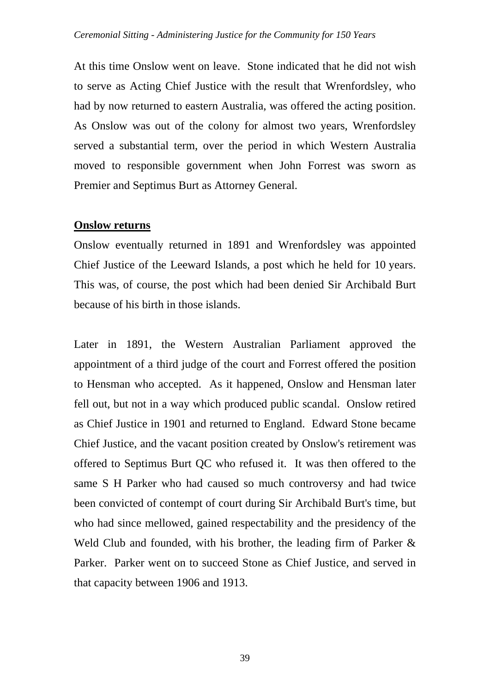At this time Onslow went on leave. Stone indicated that he did not wish to serve as Acting Chief Justice with the result that Wrenfordsley, who had by now returned to eastern Australia, was offered the acting position. As Onslow was out of the colony for almost two years, Wrenfordsley served a substantial term, over the period in which Western Australia moved to responsible government when John Forrest was sworn as Premier and Septimus Burt as Attorney General.

### **Onslow returns**

Onslow eventually returned in 1891 and Wrenfordsley was appointed Chief Justice of the Leeward Islands, a post which he held for 10 years. This was, of course, the post which had been denied Sir Archibald Burt because of his birth in those islands.

Later in 1891, the Western Australian Parliament approved the appointment of a third judge of the court and Forrest offered the position to Hensman who accepted. As it happened, Onslow and Hensman later fell out, but not in a way which produced public scandal. Onslow retired as Chief Justice in 1901 and returned to England. Edward Stone became Chief Justice, and the vacant position created by Onslow's retirement was offered to Septimus Burt QC who refused it. It was then offered to the same S H Parker who had caused so much controversy and had twice been convicted of contempt of court during Sir Archibald Burt's time, but who had since mellowed, gained respectability and the presidency of the Weld Club and founded, with his brother, the leading firm of Parker & Parker. Parker went on to succeed Stone as Chief Justice, and served in that capacity between 1906 and 1913.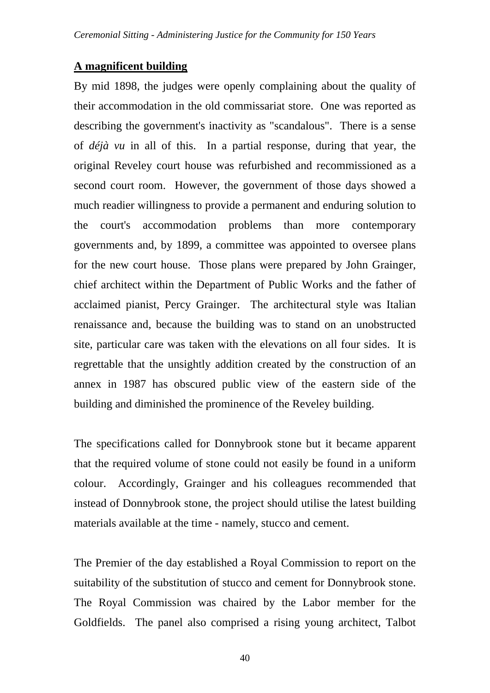## **A magnificent building**

By mid 1898, the judges were openly complaining about the quality of their accommodation in the old commissariat store. One was reported as describing the government's inactivity as "scandalous". There is a sense of *déjà vu* in all of this. In a partial response, during that year, the original Reveley court house was refurbished and recommissioned as a second court room. However, the government of those days showed a much readier willingness to provide a permanent and enduring solution to the court's accommodation problems than more contemporary governments and, by 1899, a committee was appointed to oversee plans for the new court house. Those plans were prepared by John Grainger, chief architect within the Department of Public Works and the father of acclaimed pianist, Percy Grainger. The architectural style was Italian renaissance and, because the building was to stand on an unobstructed site, particular care was taken with the elevations on all four sides. It is regrettable that the unsightly addition created by the construction of an annex in 1987 has obscured public view of the eastern side of the building and diminished the prominence of the Reveley building.

The specifications called for Donnybrook stone but it became apparent that the required volume of stone could not easily be found in a uniform colour. Accordingly, Grainger and his colleagues recommended that instead of Donnybrook stone, the project should utilise the latest building materials available at the time - namely, stucco and cement.

The Premier of the day established a Royal Commission to report on the suitability of the substitution of stucco and cement for Donnybrook stone. The Royal Commission was chaired by the Labor member for the Goldfields. The panel also comprised a rising young architect, Talbot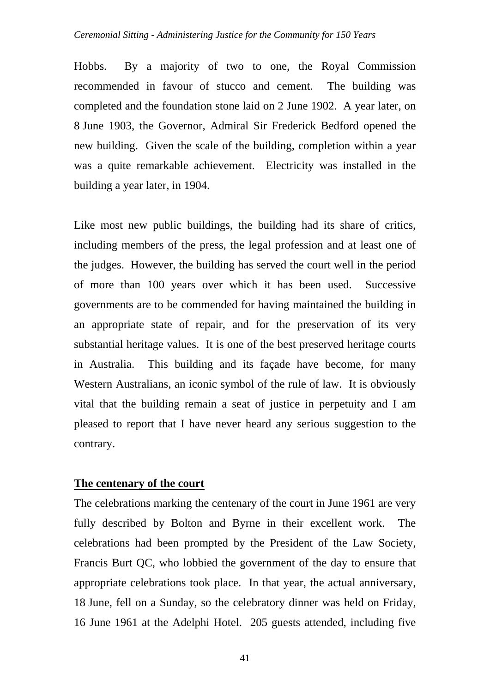Hobbs. By a majority of two to one, the Royal Commission recommended in favour of stucco and cement. The building was completed and the foundation stone laid on 2 June 1902. A year later, on 8 June 1903, the Governor, Admiral Sir Frederick Bedford opened the new building. Given the scale of the building, completion within a year was a quite remarkable achievement. Electricity was installed in the building a year later, in 1904.

Like most new public buildings, the building had its share of critics, including members of the press, the legal profession and at least one of the judges. However, the building has served the court well in the period of more than 100 years over which it has been used. Successive governments are to be commended for having maintained the building in an appropriate state of repair, and for the preservation of its very substantial heritage values. It is one of the best preserved heritage courts in Australia. This building and its façade have become, for many Western Australians, an iconic symbol of the rule of law. It is obviously vital that the building remain a seat of justice in perpetuity and I am pleased to report that I have never heard any serious suggestion to the contrary.

## **The centenary of the court**

The celebrations marking the centenary of the court in June 1961 are very fully described by Bolton and Byrne in their excellent work. The celebrations had been prompted by the President of the Law Society, Francis Burt QC, who lobbied the government of the day to ensure that appropriate celebrations took place. In that year, the actual anniversary, 18 June, fell on a Sunday, so the celebratory dinner was held on Friday, 16 June 1961 at the Adelphi Hotel. 205 guests attended, including five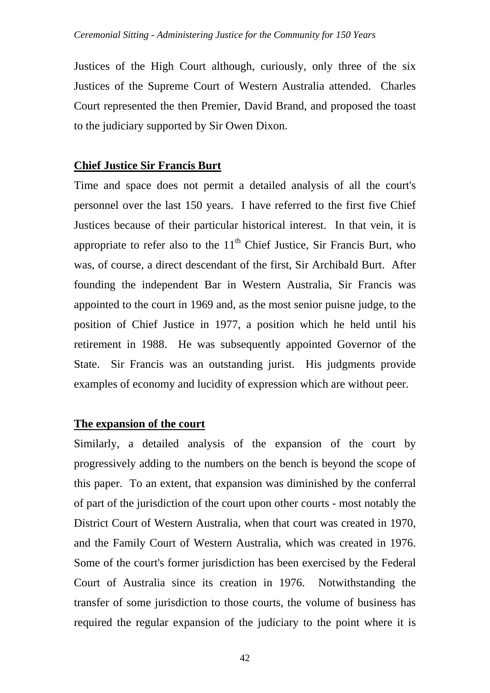Justices of the High Court although, curiously, only three of the six Justices of the Supreme Court of Western Australia attended. Charles Court represented the then Premier, David Brand, and proposed the toast to the judiciary supported by Sir Owen Dixon.

## **Chief Justice Sir Francis Burt**

Time and space does not permit a detailed analysis of all the court's personnel over the last 150 years. I have referred to the first five Chief Justices because of their particular historical interest. In that vein, it is appropriate to refer also to the  $11<sup>th</sup>$  Chief Justice, Sir Francis Burt, who was, of course, a direct descendant of the first, Sir Archibald Burt. After founding the independent Bar in Western Australia, Sir Francis was appointed to the court in 1969 and, as the most senior puisne judge, to the position of Chief Justice in 1977, a position which he held until his retirement in 1988. He was subsequently appointed Governor of the State. Sir Francis was an outstanding jurist. His judgments provide examples of economy and lucidity of expression which are without peer.

## **The expansion of the court**

Similarly, a detailed analysis of the expansion of the court by progressively adding to the numbers on the bench is beyond the scope of this paper. To an extent, that expansion was diminished by the conferral of part of the jurisdiction of the court upon other courts - most notably the District Court of Western Australia, when that court was created in 1970, and the Family Court of Western Australia, which was created in 1976. Some of the court's former jurisdiction has been exercised by the Federal Court of Australia since its creation in 1976. Notwithstanding the transfer of some jurisdiction to those courts, the volume of business has required the regular expansion of the judiciary to the point where it is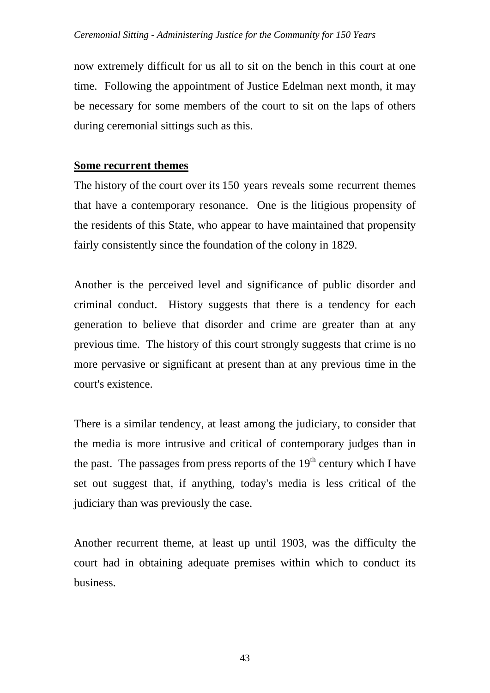now extremely difficult for us all to sit on the bench in this court at one time. Following the appointment of Justice Edelman next month, it may be necessary for some members of the court to sit on the laps of others during ceremonial sittings such as this.

## **Some recurrent themes**

The history of the court over its 150 years reveals some recurrent themes that have a contemporary resonance. One is the litigious propensity of the residents of this State, who appear to have maintained that propensity fairly consistently since the foundation of the colony in 1829.

Another is the perceived level and significance of public disorder and criminal conduct. History suggests that there is a tendency for each generation to believe that disorder and crime are greater than at any previous time. The history of this court strongly suggests that crime is no more pervasive or significant at present than at any previous time in the court's existence.

There is a similar tendency, at least among the judiciary, to consider that the media is more intrusive and critical of contemporary judges than in the past. The passages from press reports of the  $19<sup>th</sup>$  century which I have set out suggest that, if anything, today's media is less critical of the judiciary than was previously the case.

Another recurrent theme, at least up until 1903, was the difficulty the court had in obtaining adequate premises within which to conduct its business.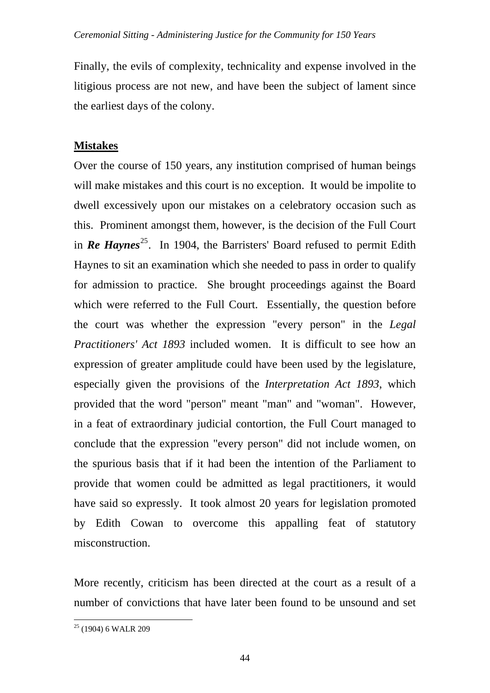Finally, the evils of complexity, technicality and expense involved in the litigious process are not new, and have been the subject of lament since the earliest days of the colony.

# **Mistakes**

Over the course of 150 years, any institution comprised of human beings will make mistakes and this court is no exception. It would be impolite to dwell excessively upon our mistakes on a celebratory occasion such as this. Prominent amongst them, however, is the decision of the Full Court in **Re Haynes**<sup>[25](#page-43-0)</sup>. In 1904, the Barristers' Board refused to permit Edith Haynes to sit an examination which she needed to pass in order to qualify for admission to practice. She brought proceedings against the Board which were referred to the Full Court. Essentially, the question before the court was whether the expression "every person" in the *Legal Practitioners' Act 1893* included women. It is difficult to see how an expression of greater amplitude could have been used by the legislature, especially given the provisions of the *Interpretation Act 1893*, which provided that the word "person" meant "man" and "woman". However, in a feat of extraordinary judicial contortion, the Full Court managed to conclude that the expression "every person" did not include women, on the spurious basis that if it had been the intention of the Parliament to provide that women could be admitted as legal practitioners, it would have said so expressly. It took almost 20 years for legislation promoted by Edith Cowan to overcome this appalling feat of statutory misconstruction.

More recently, criticism has been directed at the court as a result of a number of convictions that have later been found to be unsound and set

<span id="page-43-0"></span><sup>&</sup>lt;sup>25</sup> (1904) 6 WALR 209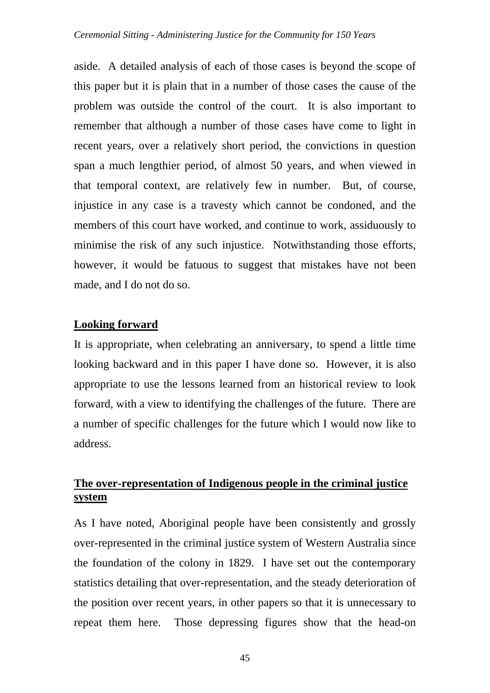aside. A detailed analysis of each of those cases is beyond the scope of this paper but it is plain that in a number of those cases the cause of the problem was outside the control of the court. It is also important to remember that although a number of those cases have come to light in recent years, over a relatively short period, the convictions in question span a much lengthier period, of almost 50 years, and when viewed in that temporal context, are relatively few in number. But, of course, injustice in any case is a travesty which cannot be condoned, and the members of this court have worked, and continue to work, assiduously to minimise the risk of any such injustice. Notwithstanding those efforts, however, it would be fatuous to suggest that mistakes have not been made, and I do not do so.

## **Looking forward**

It is appropriate, when celebrating an anniversary, to spend a little time looking backward and in this paper I have done so. However, it is also appropriate to use the lessons learned from an historical review to look forward, with a view to identifying the challenges of the future. There are a number of specific challenges for the future which I would now like to address.

# **The over-representation of Indigenous people in the criminal justice system**

As I have noted, Aboriginal people have been consistently and grossly over-represented in the criminal justice system of Western Australia since the foundation of the colony in 1829. I have set out the contemporary statistics detailing that over-representation, and the steady deterioration of the position over recent years, in other papers so that it is unnecessary to repeat them here. Those depressing figures show that the head-on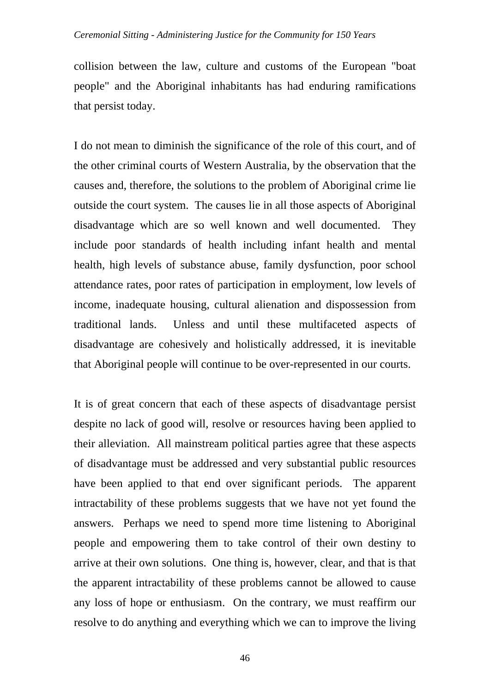#### *Ceremonial Sitting - Administering Justice for the Community for 150 Years*

collision between the law, culture and customs of the European "boat people" and the Aboriginal inhabitants has had enduring ramifications that persist today.

I do not mean to diminish the significance of the role of this court, and of the other criminal courts of Western Australia, by the observation that the causes and, therefore, the solutions to the problem of Aboriginal crime lie outside the court system. The causes lie in all those aspects of Aboriginal disadvantage which are so well known and well documented. They include poor standards of health including infant health and mental health, high levels of substance abuse, family dysfunction, poor school attendance rates, poor rates of participation in employment, low levels of income, inadequate housing, cultural alienation and dispossession from traditional lands. Unless and until these multifaceted aspects of disadvantage are cohesively and holistically addressed, it is inevitable that Aboriginal people will continue to be over-represented in our courts.

It is of great concern that each of these aspects of disadvantage persist despite no lack of good will, resolve or resources having been applied to their alleviation. All mainstream political parties agree that these aspects of disadvantage must be addressed and very substantial public resources have been applied to that end over significant periods. The apparent intractability of these problems suggests that we have not yet found the answers. Perhaps we need to spend more time listening to Aboriginal people and empowering them to take control of their own destiny to arrive at their own solutions. One thing is, however, clear, and that is that the apparent intractability of these problems cannot be allowed to cause any loss of hope or enthusiasm. On the contrary, we must reaffirm our resolve to do anything and everything which we can to improve the living

46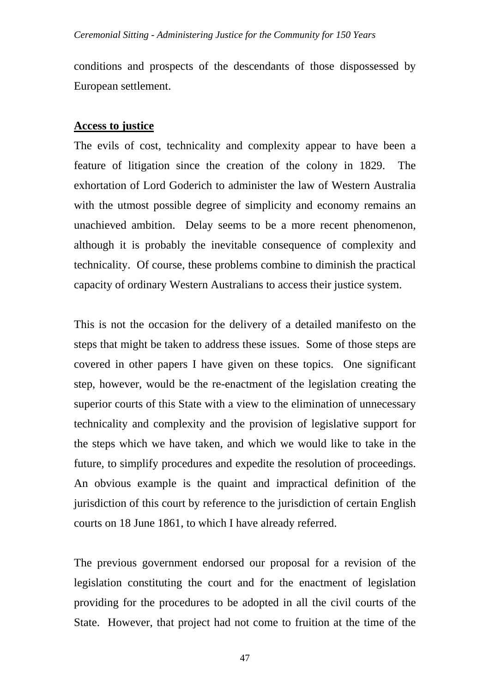conditions and prospects of the descendants of those dispossessed by European settlement.

### **Access to justice**

The evils of cost, technicality and complexity appear to have been a feature of litigation since the creation of the colony in 1829. The exhortation of Lord Goderich to administer the law of Western Australia with the utmost possible degree of simplicity and economy remains an unachieved ambition. Delay seems to be a more recent phenomenon, although it is probably the inevitable consequence of complexity and technicality. Of course, these problems combine to diminish the practical capacity of ordinary Western Australians to access their justice system.

This is not the occasion for the delivery of a detailed manifesto on the steps that might be taken to address these issues. Some of those steps are covered in other papers I have given on these topics. One significant step, however, would be the re-enactment of the legislation creating the superior courts of this State with a view to the elimination of unnecessary technicality and complexity and the provision of legislative support for the steps which we have taken, and which we would like to take in the future, to simplify procedures and expedite the resolution of proceedings. An obvious example is the quaint and impractical definition of the jurisdiction of this court by reference to the jurisdiction of certain English courts on 18 June 1861, to which I have already referred.

The previous government endorsed our proposal for a revision of the legislation constituting the court and for the enactment of legislation providing for the procedures to be adopted in all the civil courts of the State. However, that project had not come to fruition at the time of the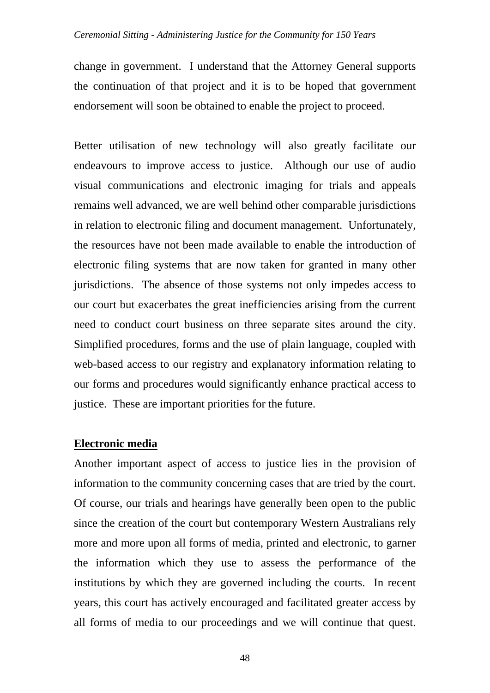#### *Ceremonial Sitting - Administering Justice for the Community for 150 Years*

change in government. I understand that the Attorney General supports the continuation of that project and it is to be hoped that government endorsement will soon be obtained to enable the project to proceed.

Better utilisation of new technology will also greatly facilitate our endeavours to improve access to justice. Although our use of audio visual communications and electronic imaging for trials and appeals remains well advanced, we are well behind other comparable jurisdictions in relation to electronic filing and document management. Unfortunately, the resources have not been made available to enable the introduction of electronic filing systems that are now taken for granted in many other jurisdictions. The absence of those systems not only impedes access to our court but exacerbates the great inefficiencies arising from the current need to conduct court business on three separate sites around the city. Simplified procedures, forms and the use of plain language, coupled with web-based access to our registry and explanatory information relating to our forms and procedures would significantly enhance practical access to justice. These are important priorities for the future.

#### **Electronic media**

Another important aspect of access to justice lies in the provision of information to the community concerning cases that are tried by the court. Of course, our trials and hearings have generally been open to the public since the creation of the court but contemporary Western Australians rely more and more upon all forms of media, printed and electronic, to garner the information which they use to assess the performance of the institutions by which they are governed including the courts. In recent years, this court has actively encouraged and facilitated greater access by all forms of media to our proceedings and we will continue that quest.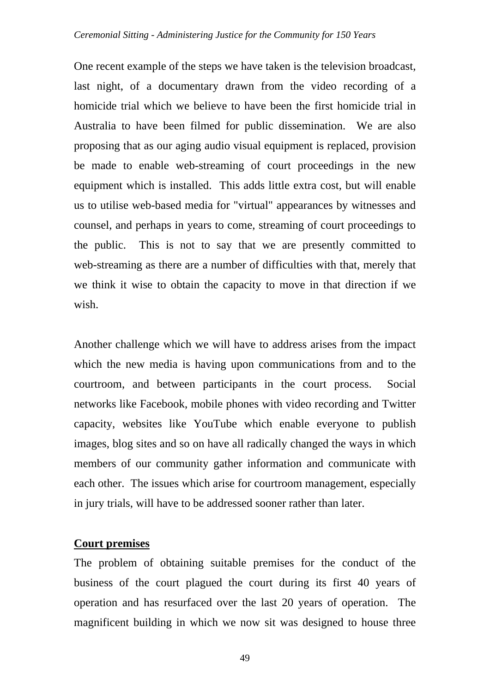One recent example of the steps we have taken is the television broadcast, last night, of a documentary drawn from the video recording of a homicide trial which we believe to have been the first homicide trial in Australia to have been filmed for public dissemination. We are also proposing that as our aging audio visual equipment is replaced, provision be made to enable web-streaming of court proceedings in the new equipment which is installed. This adds little extra cost, but will enable us to utilise web-based media for "virtual" appearances by witnesses and counsel, and perhaps in years to come, streaming of court proceedings to the public. This is not to say that we are presently committed to web-streaming as there are a number of difficulties with that, merely that we think it wise to obtain the capacity to move in that direction if we wish.

Another challenge which we will have to address arises from the impact which the new media is having upon communications from and to the courtroom, and between participants in the court process. Social networks like Facebook, mobile phones with video recording and Twitter capacity, websites like YouTube which enable everyone to publish images, blog sites and so on have all radically changed the ways in which members of our community gather information and communicate with each other. The issues which arise for courtroom management, especially in jury trials, will have to be addressed sooner rather than later.

## **Court premises**

The problem of obtaining suitable premises for the conduct of the business of the court plagued the court during its first 40 years of operation and has resurfaced over the last 20 years of operation. The magnificent building in which we now sit was designed to house three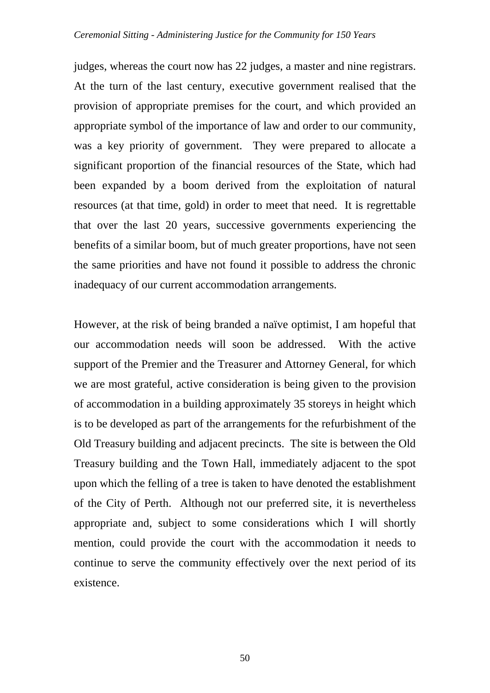judges, whereas the court now has 22 judges, a master and nine registrars. At the turn of the last century, executive government realised that the provision of appropriate premises for the court, and which provided an appropriate symbol of the importance of law and order to our community, was a key priority of government. They were prepared to allocate a significant proportion of the financial resources of the State, which had been expanded by a boom derived from the exploitation of natural resources (at that time, gold) in order to meet that need. It is regrettable that over the last 20 years, successive governments experiencing the benefits of a similar boom, but of much greater proportions, have not seen the same priorities and have not found it possible to address the chronic inadequacy of our current accommodation arrangements.

However, at the risk of being branded a naïve optimist, I am hopeful that our accommodation needs will soon be addressed. With the active support of the Premier and the Treasurer and Attorney General, for which we are most grateful, active consideration is being given to the provision of accommodation in a building approximately 35 storeys in height which is to be developed as part of the arrangements for the refurbishment of the Old Treasury building and adjacent precincts. The site is between the Old Treasury building and the Town Hall, immediately adjacent to the spot upon which the felling of a tree is taken to have denoted the establishment of the City of Perth. Although not our preferred site, it is nevertheless appropriate and, subject to some considerations which I will shortly mention, could provide the court with the accommodation it needs to continue to serve the community effectively over the next period of its existence.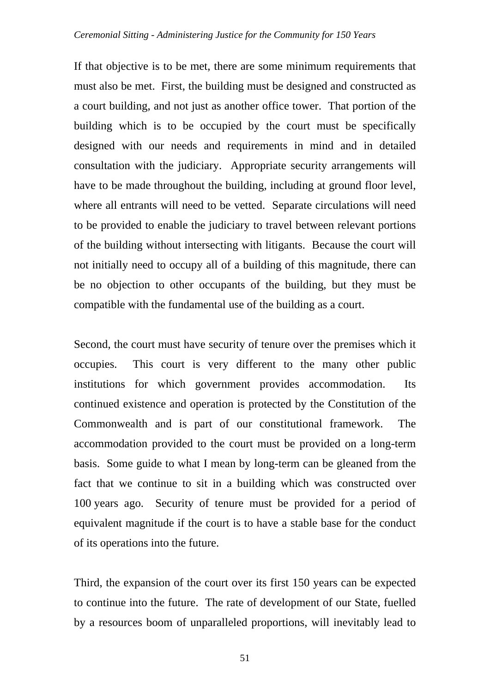If that objective is to be met, there are some minimum requirements that must also be met. First, the building must be designed and constructed as a court building, and not just as another office tower. That portion of the building which is to be occupied by the court must be specifically designed with our needs and requirements in mind and in detailed consultation with the judiciary. Appropriate security arrangements will have to be made throughout the building, including at ground floor level, where all entrants will need to be vetted. Separate circulations will need to be provided to enable the judiciary to travel between relevant portions of the building without intersecting with litigants. Because the court will not initially need to occupy all of a building of this magnitude, there can be no objection to other occupants of the building, but they must be compatible with the fundamental use of the building as a court.

Second, the court must have security of tenure over the premises which it occupies. This court is very different to the many other public institutions for which government provides accommodation. Its continued existence and operation is protected by the Constitution of the Commonwealth and is part of our constitutional framework. The accommodation provided to the court must be provided on a long-term basis. Some guide to what I mean by long-term can be gleaned from the fact that we continue to sit in a building which was constructed over 100 years ago. Security of tenure must be provided for a period of equivalent magnitude if the court is to have a stable base for the conduct of its operations into the future.

Third, the expansion of the court over its first 150 years can be expected to continue into the future. The rate of development of our State, fuelled by a resources boom of unparalleled proportions, will inevitably lead to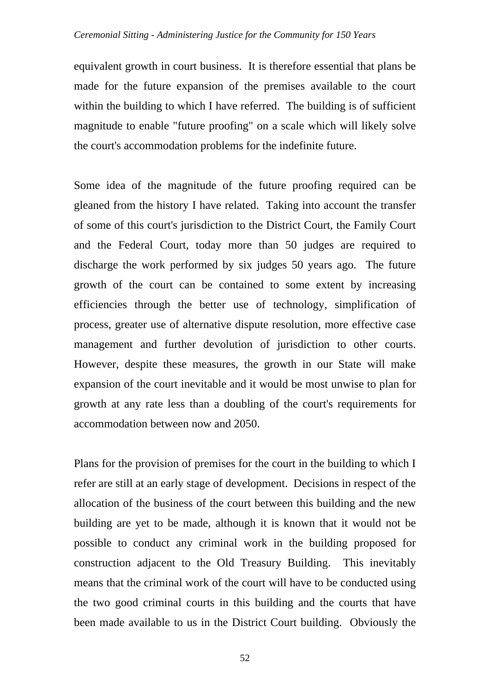equivalent growth in court business. It is therefore essential that plans be made for the future expansion of the premises available to the court within the building to which I have referred. The building is of sufficient magnitude to enable "future proofing" on a scale which will likely solve the court's accommodation problems for the indefinite future.

Some idea of the magnitude of the future proofing required can be gleaned from the history I have related. Taking into account the transfer of some of this court's jurisdiction to the District Court, the Family Court and the Federal Court, today more than 50 judges are required to discharge the work performed by six judges 50 years ago. The future growth of the court can be contained to some extent by increasing efficiencies through the better use of technology, simplification of process, greater use of alternative dispute resolution, more effective case management and further devolution of jurisdiction to other courts. However, despite these measures, the growth in our State will make expansion of the court inevitable and it would be most unwise to plan for growth at any rate less than a doubling of the court's requirements for accommodation between now and 2050.

Plans for the provision of premises for the court in the building to which I refer are still at an early stage of development. Decisions in respect of the allocation of the business of the court between this building and the new building are yet to be made, although it is known that it would not be possible to conduct any criminal work in the building proposed for construction adjacent to the Old Treasury Building. This inevitably means that the criminal work of the court will have to be conducted using the two good criminal courts in this building and the courts that have been made available to us in the District Court building. Obviously the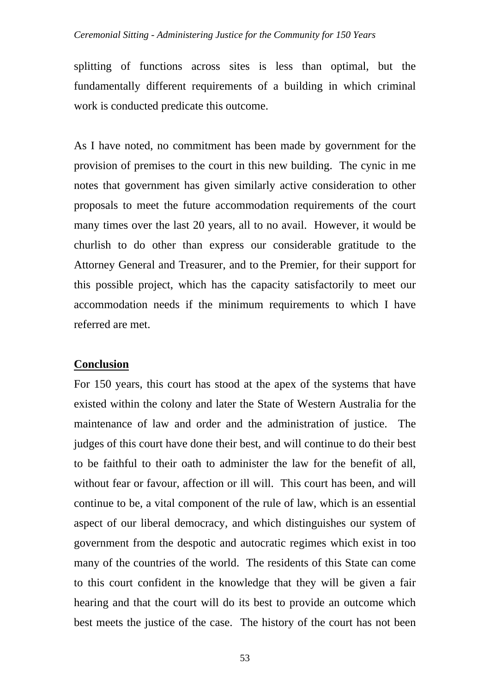### *Ceremonial Sitting - Administering Justice for the Community for 150 Years*

splitting of functions across sites is less than optimal, but the fundamentally different requirements of a building in which criminal work is conducted predicate this outcome.

As I have noted, no commitment has been made by government for the provision of premises to the court in this new building. The cynic in me notes that government has given similarly active consideration to other proposals to meet the future accommodation requirements of the court many times over the last 20 years, all to no avail. However, it would be churlish to do other than express our considerable gratitude to the Attorney General and Treasurer, and to the Premier, for their support for this possible project, which has the capacity satisfactorily to meet our accommodation needs if the minimum requirements to which I have referred are met.

#### **Conclusion**

For 150 years, this court has stood at the apex of the systems that have existed within the colony and later the State of Western Australia for the maintenance of law and order and the administration of justice. The judges of this court have done their best, and will continue to do their best to be faithful to their oath to administer the law for the benefit of all, without fear or favour, affection or ill will. This court has been, and will continue to be, a vital component of the rule of law, which is an essential aspect of our liberal democracy, and which distinguishes our system of government from the despotic and autocratic regimes which exist in too many of the countries of the world. The residents of this State can come to this court confident in the knowledge that they will be given a fair hearing and that the court will do its best to provide an outcome which best meets the justice of the case. The history of the court has not been